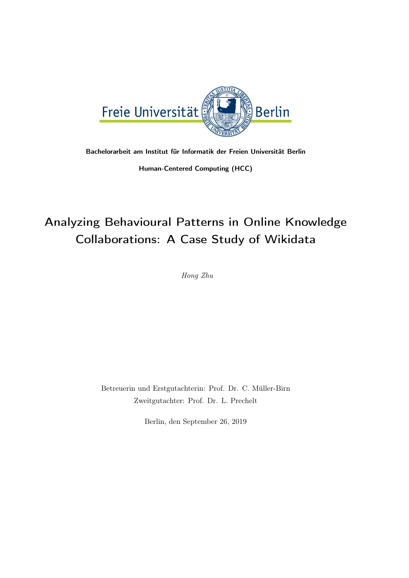

Bachelorarbeit am Institut für Informatik der Freien Universität Berlin Human-Centered Computing (HCC)

# Analyzing Behavioural Patterns in Online Knowledge Collaborations: A Case Study of Wikidata

Hong Zhu

Betreuerin und Erstgutachterin: Prof. Dr. C. Müller-Birn Zweitgutachter: Prof. Dr. L. Prechelt

Berlin, den September 26, 2019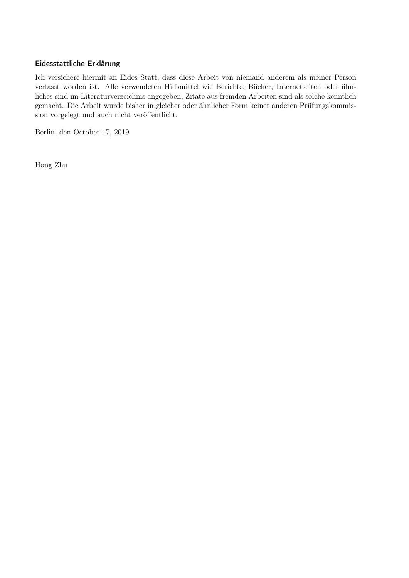### Eidesstattliche Erklärung

Ich versichere hiermit an Eides Statt, dass diese Arbeit von niemand anderem als meiner Person verfasst worden ist. Alle verwendeten Hilfsmittel wie Berichte, Bücher, Internetseiten oder ähnliches sind im Literaturverzeichnis angegeben, Zitate aus fremden Arbeiten sind als solche kenntlich gemacht. Die Arbeit wurde bisher in gleicher oder ähnlicher Form keiner anderen Prüfungskommission vorgelegt und auch nicht veröffentlicht.

Berlin, den October 17, 2019

Hong Zhu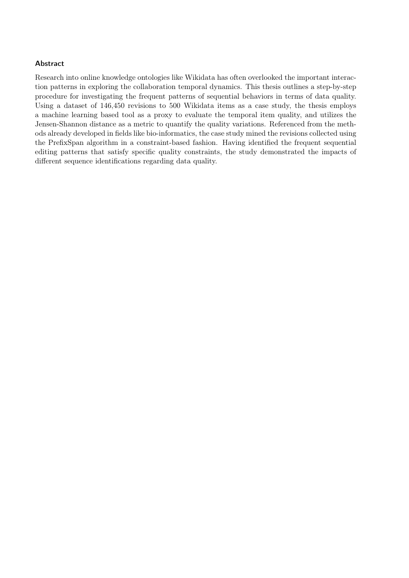### Abstract

Research into online knowledge ontologies like Wikidata has often overlooked the important interaction patterns in exploring the collaboration temporal dynamics. This thesis outlines a step-by-step procedure for investigating the frequent patterns of sequential behaviors in terms of data quality. Using a dataset of 146,450 revisions to 500 Wikidata items as a case study, the thesis employs a machine learning based tool as a proxy to evaluate the temporal item quality, and utilizes the Jensen-Shannon distance as a metric to quantify the quality variations. Referenced from the methods already developed in fields like bio-informatics, the case study mined the revisions collected using the PrefixSpan algorithm in a constraint-based fashion. Having identified the frequent sequential editing patterns that satisfy specific quality constraints, the study demonstrated the impacts of different sequence identifications regarding data quality.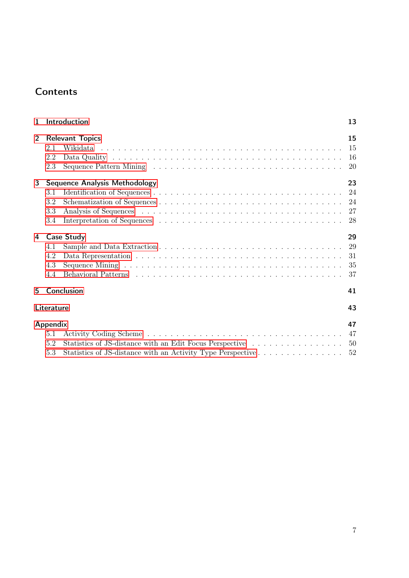# **Contents**

| $\mathbf{1}$   | Introduction                                                                                                                                                              | 13                                     |
|----------------|---------------------------------------------------------------------------------------------------------------------------------------------------------------------------|----------------------------------------|
| $\overline{2}$ | <b>Relevant Topics</b><br>2.1<br>2.2<br>2.3                                                                                                                               | 15<br>15<br>16<br>20                   |
| 3<br>4         | <b>Sequence Analysis Methodology</b><br>3.1<br>3.2<br>3.3<br>3.4<br><b>Case Study</b><br>4.1                                                                              | 23<br>24<br>24<br>27<br>28<br>29<br>29 |
| 5.             | 4.2<br>4.3<br>4.4<br>Conclusion                                                                                                                                           | 31<br>35<br>37<br>41                   |
|                | Literature<br>Appendix<br>5.1<br>Statistics of JS-distance with an Edit Focus Perspective<br>5.2<br>Statistics of JS-distance with an Activity Type Perspective 52<br>5.3 | 43<br>47<br>47<br>50                   |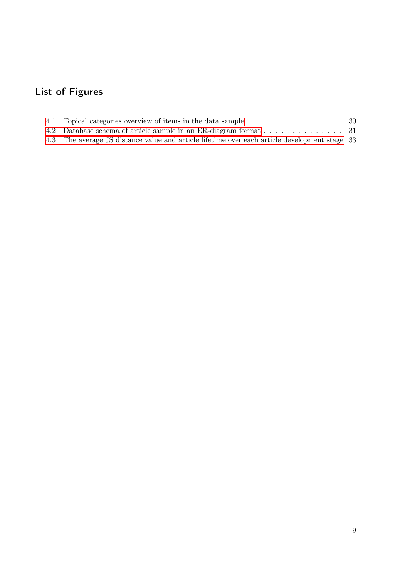# List of Figures

| 4.2 Database schema of article sample in an ER-diagram format 31                              |  |
|-----------------------------------------------------------------------------------------------|--|
| 4.3 The average JS distance value and article lifetime over each article development stage 33 |  |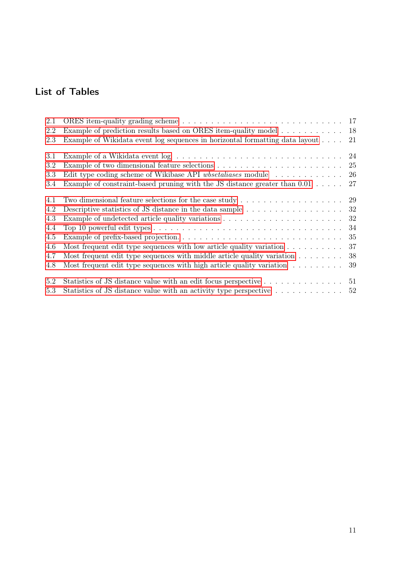# List of Tables

| 2.1 |                                                                                                            |    |
|-----|------------------------------------------------------------------------------------------------------------|----|
| 2.2 | Example of prediction results based on ORES item-quality model 18                                          |    |
| 2.3 | Example of Wikidata event log sequences in horizontal formatting data layout 21                            |    |
| 3.1 |                                                                                                            |    |
| 3.2 | Example of two dimensional feature selections $\dots \dots \dots \dots \dots \dots \dots \dots \dots$      | 25 |
| 3.3 | Edit type coding scheme of Wikibase API whetaliases module                                                 | 26 |
| 3.4 | Example of constraint-based pruning with the JS distance greater than $0.01 \ldots$ .                      | 27 |
| 4.1 | Two dimensional feature selections for the case study $\dots \dots \dots \dots \dots \dots \dots \dots$ 29 |    |
| 4.2 | Descriptive statistics of JS distance in the data sample $\dots \dots \dots \dots \dots \dots$             | 32 |
| 4.3 |                                                                                                            | 32 |
| 4.4 |                                                                                                            | 34 |
| 4.5 |                                                                                                            | 35 |
| 4.6 | Most frequent edit type sequences with low article quality variation $\dots \dots \dots$                   | 37 |
| 4.7 | Most frequent edit type sequences with middle article quality variation $\dots \dots$                      | 38 |
| 4.8 | Most frequent edit type sequences with high article quality variation $\dots \dots \dots$                  | 39 |
| 5.2 | Statistics of JS distance value with an edit focus perspective                                             | 51 |
| 5.3 | Statistics of JS distance value with an activity type perspective                                          | 52 |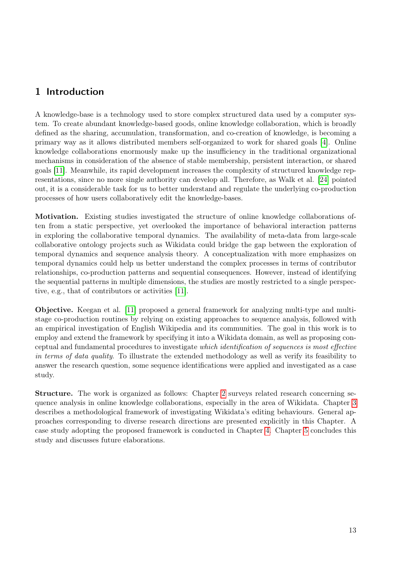# <span id="page-12-0"></span>1 Introduction

A knowledge-base is a technology used to store complex structured data used by a computer system. To create abundant knowledge-based goods, online knowledge collaboration, which is broadly defined as the sharing, accumulation, transformation, and co-creation of knowledge, is becoming a primary way as it allows distributed members self-organized to work for shared goals [\[4\]](#page-42-1). Online knowledge collaborations enormously make up the insufficiency in the traditional organizational mechanisms in consideration of the absence of stable membership, persistent interaction, or shared goals [\[11\]](#page-43-0). Meanwhile, its rapid development increases the complexity of structured knowledge representations, since no more single authority can develop all. Therefore, as Walk et al. [\[24\]](#page-44-0) pointed out, it is a considerable task for us to better understand and regulate the underlying co-production processes of how users collaboratively edit the knowledge-bases.

Motivation. Existing studies investigated the structure of online knowledge collaborations often from a static perspective, yet overlooked the importance of behavioral interaction patterns in exploring the collaborative temporal dynamics. The availability of meta-data from large-scale collaborative ontology projects such as Wikidata could bridge the gap between the exploration of temporal dynamics and sequence analysis theory. A conceptualization with more emphasizes on temporal dynamics could help us better understand the complex processes in terms of contributor relationships, co-production patterns and sequential consequences. However, instead of identifying the sequential patterns in multiple dimensions, the studies are mostly restricted to a single perspective, e.g., that of contributors or activities [\[11\]](#page-43-0).

Objective. Keegan et al. [\[11\]](#page-43-0) proposed a general framework for analyzing multi-type and multistage co-production routines by relying on existing approaches to sequence analysis, followed with an empirical investigation of English Wikipedia and its communities. The goal in this work is to employ and extend the framework by specifying it into a Wikidata domain, as well as proposing conceptual and fundamental procedures to investigate which identification of sequences is most effective in terms of data quality. To illustrate the extended methodology as well as verify its feasibility to answer the research question, some sequence identifications were applied and investigated as a case study.

Structure. The work is organized as follows: Chapter [2](#page-14-0) surveys related research concerning sequence analysis in online knowledge collaborations, especially in the area of Wikidata. Chapter [3](#page-22-0) describes a methodological framework of investigating Wikidata's editing behaviours. General approaches corresponding to diverse research directions are presented explicitly in this Chapter. A case study adopting the proposed framework is conducted in Chapter [4.](#page-28-0) Chapter [5](#page-40-0) concludes this study and discusses future elaborations.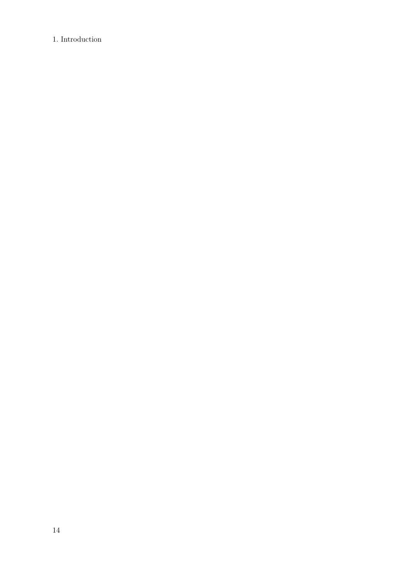## 1. Introduction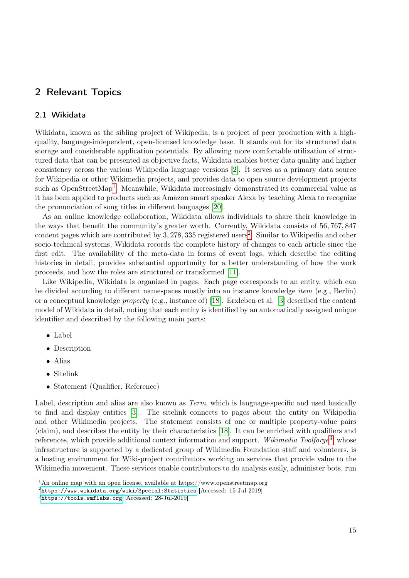## <span id="page-14-0"></span>2 Relevant Topics

### <span id="page-14-1"></span>2.1 Wikidata

Wikidata, known as the sibling project of Wikipedia, is a project of peer production with a highquality, language-independent, open-licensed knowledge base. It stands out for its structured data storage and considerable application potentials. By allowing more comfortable utilization of structured data that can be presented as objective facts, Wikidata enables better data quality and higher consistency across the various Wikipedia language versions [\[2\]](#page-42-2). It serves as a primary data source for Wikipedia or other Wikimedia projects, and provides data to open source development projects such as OpenStreetMap<sup>[1](#page-14-2)</sup>. Meanwhile, Wikidata increasingly demonstrated its commercial value as it has been applied to products such as Amazon smart speaker Alexa by teaching Alexa to recognize the pronunciation of song titles in different languages [\[20\]](#page-43-1).

As an online knowledge collaboration, Wikidata allows individuals to share their knowledge in the ways that benefit the community's greater worth. Currently, Wikidata consists of 56, 767, 847 content pages which are contributed by  $3,278,335$  $3,278,335$  $3,278,335$  registered users<sup>2</sup>. Similar to Wikipedia and other socio-technical systems, Wikidata records the complete history of changes to each article since the first edit. The availability of the meta-data in forms of event logs, which describe the editing histories in detail, provides substantial opportunity for a better understanding of how the work proceeds, and how the roles are structured or transformed [\[11\]](#page-43-0).

Like Wikipedia, Wikidata is organized in pages. Each page corresponds to an entity, which can be divided according to different namespaces mostly into an instance knowledge item (e.g., Berlin) or a conceptual knowledge property (e.g., instance of) [\[18\]](#page-43-2). Erxleben et al. [\[3\]](#page-42-3) described the content model of Wikidata in detail, noting that each entity is identified by an automatically assigned unique identifier and described by the following main parts:

- Label
- Description
- Alias
- Sitelink
- Statement (Qualifier, Reference)

Label, description and alias are also known as *Term*, which is language-specific and used basically to find and display entities [\[3\]](#page-42-3). The sitelink connects to pages about the entity on Wikipedia and other Wikimedia projects. The statement consists of one or multiple property-value pairs (claim), and describes the entity by their characteristics [\[18\]](#page-43-2). It can be enriched with qualifiers and references, which provide additional context information and support. Wikimedia Toolforge<sup>[3](#page-14-4)</sup>, whose infrastructure is supported by a dedicated group of Wikimedia Foundation staff and volunteers, is a hosting environment for Wiki-project contributors working on services that provide value to the Wikimedia movement. These services enable contributors to do analysis easily, administer bots, run

<span id="page-14-2"></span><sup>&</sup>lt;sup>1</sup>An online map with an open license, available at https://www.openstreetmap.org

<span id="page-14-3"></span> $^2$ <https://www.wikidata.org/wiki/Special:Statistics> [ $\rm Accessed:$  15-Jul-2019]

<span id="page-14-4"></span> $3$ <https://tools.wmflabs.org> [ $\text{Accessed: } 28\text{-Jul-}2019$ ]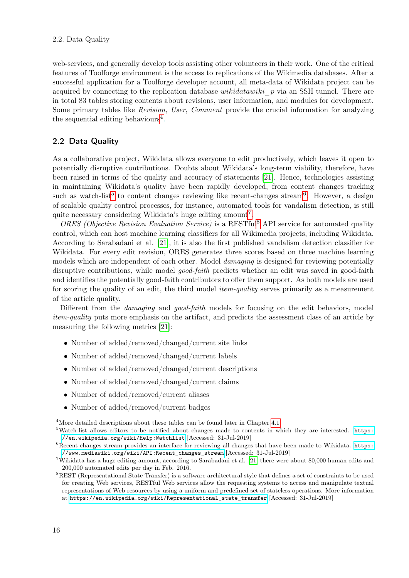web-services, and generally develop tools assisting other volunteers in their work. One of the critical features of Toolforge environment is the access to replications of the Wikimedia databases. After a successful application for a Toolforge developer account, all meta-data of Wikidata project can be acquired by connecting to the replication database *wikidatawiki*  $p$  via an SSH tunnel. There are in total 83 tables storing contents about revisions, user information, and modules for development. Some primary tables like *Revision, User, Comment* provide the crucial information for analyzing the sequential editing behaviours<sup>[4](#page-15-1)</sup>.

### <span id="page-15-0"></span>2.2 Data Quality

As a collaborative project, Wikidata allows everyone to edit productively, which leaves it open to potentially disruptive contributions. Doubts about Wikidata's long-term viability, therefore, have been raised in terms of the quality and accuracy of statements [\[21\]](#page-43-3). Hence, technologies assisting in maintaining Wikidata's quality have been rapidly developed, from content changes tracking such as watch-list<sup>[5](#page-15-2)</sup> to content changes reviewing like recent-changes stream<sup>[6](#page-15-3)</sup>. However, a design of scalable quality control processes, for instance, automated tools for vandalism detection, is still quite necessary considering Wikidata's huge editing amount<sup>[7](#page-15-4)</sup>.

ORES (Objective Revision Evaluation Service) is a RESTful<sup>[8](#page-15-5)</sup> API service for automated quality control, which can host machine learning classifiers for all Wikimedia projects, including Wikidata. According to Sarabadani et al. [\[21\]](#page-43-3), it is also the first published vandalism detection classifier for Wikidata. For every edit revision, ORES generates three scores based on three machine learning models which are independent of each other. Model damaging is designed for reviewing potentially disruptive contributions, while model *good-faith* predicts whether an edit was saved in good-faith and identifies the potentially good-faith contributors to offer them support. As both models are used for scoring the quality of an edit, the third model *item-quality* serves primarily as a measurement of the article quality.

Different from the *damaging* and *good-faith* models for focusing on the edit behaviors, model item-quality puts more emphasis on the artifact, and predicts the assessment class of an article by measuring the following metrics [\[21\]](#page-43-3):

- Number of added/removed/changed/current site links
- Number of added/removed/changed/current labels
- Number of added/removed/changed/current descriptions
- Number of added/removed/changed/current claims
- Number of added/removed/current aliases
- Number of added/removed/current badges

<span id="page-15-1"></span><sup>&</sup>lt;sup>4</sup>More detailed descriptions about these tables can be found later in Chapter [4.1.](#page-28-1)

<span id="page-15-2"></span><sup>5</sup>Watch-list allows editors to be notified about changes made to contents in which they are interested. [https:](https://en.wikipedia.org/wiki/Help:Watchlist) [//en.wikipedia.org/wiki/Help:Watchlist](https://en.wikipedia.org/wiki/Help:Watchlist) [Accessed: 31-Jul-2019]

<span id="page-15-3"></span><sup>&</sup>lt;sup>6</sup>Recent changes stream provides an interface for reviewing all changes that have been made to Wikidata. [https:](https://www.mediawiki.org/wiki/API:Recent_changes_stream) [//www.mediawiki.org/wiki/API:Recent\\_changes\\_stream](https://www.mediawiki.org/wiki/API:Recent_changes_stream) [Accessed: 31-Jul-2019]

<span id="page-15-4"></span><sup>7</sup>Wikidata has a huge editing amount, according to Sarabadani et al. [\[21\]](#page-43-3) there were about 80,000 human edits and 200,000 automated edits per day in Feb. 2016.

<span id="page-15-5"></span><sup>8</sup>REST (Representational State Transfer) is a software architectural style that defines a set of constraints to be used for creating Web services, RESTful Web services allow the requesting systems to access and manipulate textual representations of Web resources by using a uniform and predefined set of stateless operations. More information at [https://en.wikipedia.org/wiki/Representational\\_state\\_transfer](https://en.wikipedia.org/wiki/Representational_state_transfer) [Accessed: 31-Jul-2019]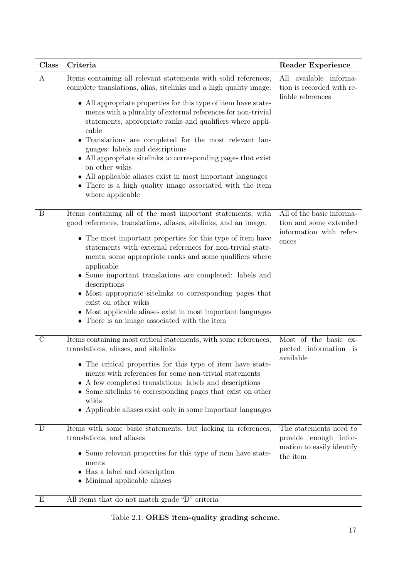<span id="page-16-0"></span>

| $\mathbf{A}$<br>All available informa-<br>Items containing all relevant statements with solid references,<br>complete translations, alias, sitelinks and a high quality image:<br>tion is recorded with re-<br>liable references<br>• All appropriate properties for this type of item have state-<br>ments with a plurality of external references for non-trivial<br>statements, appropriate ranks and qualifiers where appli-<br>cable<br>• Translations are completed for the most relevant lan-<br>guages: labels and descriptions<br>• All appropriate sitelinks to corresponding pages that exist<br>on other wikis<br>• All applicable aliases exist in most important languages<br>• There is a high quality image associated with the item<br>where applicable<br>$\boldsymbol{B}$<br>Items containing all of the most important statements, with<br>All of the basic informa-<br>good references, translations, aliases, sitelinks, and an image:<br>tion and some extended<br>information with refer-<br>• The most important properties for this type of item have<br>ences<br>statements with external references for non-trivial state-<br>ments, some appropriate ranks and some qualifiers where<br>applicable<br>• Some important translations are completed: labels and<br>descriptions<br>• Most appropriate sitelinks to corresponding pages that<br>exist on other wikis<br>• Most applicable aliases exist in most important languages<br>• There is an image associated with the item<br>Items containing most critical statements, with some references,<br>$\mathcal{C}$<br>translations, aliases, and sitelinks<br>available<br>• The critical properties for this type of item have state-<br>ments with references for some non-trivial statements<br>• A few completed translations: labels and descriptions<br>• Some sitelinks to corresponding pages that exist on other<br>wikis<br>• Applicable aliases exist only in some important languages<br>Items with some basic statements, but lacking in references,<br>D<br>The statements need to<br>translations, and aliases<br>provide enough infor-<br>mation to easily identify<br>• Some relevant properties for this type of item have state-<br>the item<br>ments<br>• Has a label and description<br>• Minimal applicable aliases | Class | Criteria | <b>Reader Experience</b>                       |
|---------------------------------------------------------------------------------------------------------------------------------------------------------------------------------------------------------------------------------------------------------------------------------------------------------------------------------------------------------------------------------------------------------------------------------------------------------------------------------------------------------------------------------------------------------------------------------------------------------------------------------------------------------------------------------------------------------------------------------------------------------------------------------------------------------------------------------------------------------------------------------------------------------------------------------------------------------------------------------------------------------------------------------------------------------------------------------------------------------------------------------------------------------------------------------------------------------------------------------------------------------------------------------------------------------------------------------------------------------------------------------------------------------------------------------------------------------------------------------------------------------------------------------------------------------------------------------------------------------------------------------------------------------------------------------------------------------------------------------------------------------------------------------------------------------------------------------------------------------------------------------------------------------------------------------------------------------------------------------------------------------------------------------------------------------------------------------------------------------------------------------------------------------------------------------------------------------------------------------------------------------------------------------------------------------------------------|-------|----------|------------------------------------------------|
|                                                                                                                                                                                                                                                                                                                                                                                                                                                                                                                                                                                                                                                                                                                                                                                                                                                                                                                                                                                                                                                                                                                                                                                                                                                                                                                                                                                                                                                                                                                                                                                                                                                                                                                                                                                                                                                                                                                                                                                                                                                                                                                                                                                                                                                                                                                           |       |          |                                                |
|                                                                                                                                                                                                                                                                                                                                                                                                                                                                                                                                                                                                                                                                                                                                                                                                                                                                                                                                                                                                                                                                                                                                                                                                                                                                                                                                                                                                                                                                                                                                                                                                                                                                                                                                                                                                                                                                                                                                                                                                                                                                                                                                                                                                                                                                                                                           |       |          |                                                |
|                                                                                                                                                                                                                                                                                                                                                                                                                                                                                                                                                                                                                                                                                                                                                                                                                                                                                                                                                                                                                                                                                                                                                                                                                                                                                                                                                                                                                                                                                                                                                                                                                                                                                                                                                                                                                                                                                                                                                                                                                                                                                                                                                                                                                                                                                                                           |       |          |                                                |
|                                                                                                                                                                                                                                                                                                                                                                                                                                                                                                                                                                                                                                                                                                                                                                                                                                                                                                                                                                                                                                                                                                                                                                                                                                                                                                                                                                                                                                                                                                                                                                                                                                                                                                                                                                                                                                                                                                                                                                                                                                                                                                                                                                                                                                                                                                                           |       |          | Most of the basic ex-<br>pected information is |
| All items that do not match grade "D" criteria<br>Ε                                                                                                                                                                                                                                                                                                                                                                                                                                                                                                                                                                                                                                                                                                                                                                                                                                                                                                                                                                                                                                                                                                                                                                                                                                                                                                                                                                                                                                                                                                                                                                                                                                                                                                                                                                                                                                                                                                                                                                                                                                                                                                                                                                                                                                                                       |       |          |                                                |

Table 2.1: ORES item-quality grading scheme.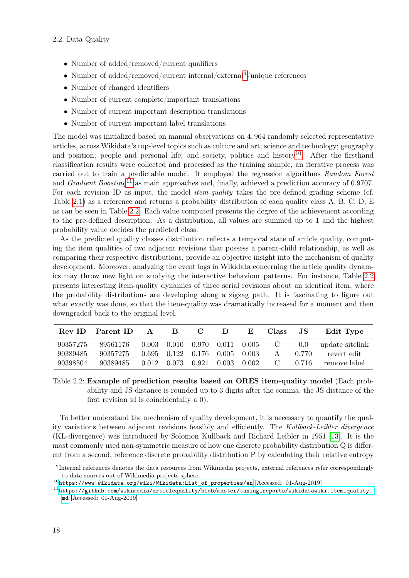- Number of added/removed/current qualifiers
- Number of added/removed/current internal/external<sup>[9](#page-17-1)</sup>/unique references
- Number of changed identifiers
- Number of current complete/important translations
- Number of current important description translations
- Number of current important label translations

The model was initialized based on manual observations on 4, 964 randomly selected representative articles, across Wikidata's top-level topics such as culture and art; science and technology; geography and position; people and personal life; and society, politics and history<sup>[10](#page-17-2)</sup>. After the firsthand classification results were collected and processed as the training sample, an iterative process was carried out to train a predictable model. It employed the regression algorithms Random Forest and Gradient Boosting<sup>[11](#page-17-3)</sup> as main approaches and, finally, achieved a prediction accuracy of 0.9707. For each revision ID as input, the model *item-quality* takes the pre-defined grading scheme (cf. Table [2.1\)](#page-16-0) as a reference and returns a probability distribution of each quality class A, B, C, D, E as can be seen in Table [2.2.](#page-17-0) Each value computed presents the degree of the achievement according to the pre-defined description. As a distribution, all values are summed up to 1 and the highest probability value decides the predicted class.

As the predicted quality classes distribution reflects a temporal state of article quality, computing the item qualities of two adjacent revisions that possess a parent-child relationship, as well as comparing their respective distributions, provide an objective insight into the mechanism of quality development. Moreover, analyzing the event logs in Wikidata concerning the article quality dynamics may throw new light on studying the interactive behaviour patterns. For instance, Table [2.2](#page-17-0) presents interesting item-quality dynamics of three serial revisions about an identical item, where the probability distributions are developing along a zigzag path. It is fascinating to figure out what exactly was done, so that the item-quality was dramatically increased for a moment and then downgraded back to the original level.

<span id="page-17-0"></span>

| Rev ID   | Parent ID | $\mathbf{A}$ | B                       | $\mathbf C$ | $\Box$      | E     | Class         | - JS          | Edit Type       |
|----------|-----------|--------------|-------------------------|-------------|-------------|-------|---------------|---------------|-----------------|
| 90357275 | 89561176  | 0.003        | 0.010                   | 0.970       | 0.011 0.005 |       | $C =$         | $0.0^{\circ}$ | update sitelink |
| 90389485 | 90357275  |              | $0.695$ $0.122$ $0.176$ |             | 0.005 0.003 |       | A             | 0.770         | revert edit     |
| 90398504 | 90389485  | 0.012        | 0.073                   | 0.921       | 0.003       | 0.002 | $\mathcal{C}$ | 0.716         | remove label    |

Table 2.2: Example of prediction results based on ORES item-quality model (Each probability and JS distance is rounded up to 3 digits after the comma, the JS distance of the first revision id is coincidentally a 0).

To better understand the mechanism of quality development, it is necessary to quantify the quality variations between adjacent revisions feasibly and efficiently. The Kullback-Leibler divergence (KL-divergence) was introduced by Solomon Kullback and Richard Leibler in 1951 [\[13\]](#page-43-4). It is the most commonly used non-symmetric measure of how one discrete probability distribution Q is different from a second, reference discrete probability distribution P by calculating their relative entropy

<span id="page-17-1"></span><sup>&</sup>lt;sup>9</sup>Internal references denotes the data resources from Wikimedia projects, external references refer correspondingly to data sources out of Wikimedia projects sphere.

<span id="page-17-2"></span> $^{10}\rm{https://www.wikidata.org/wiki/Wikidata:List_of\_properties/en}$  [Accessed: 01-Aug-2019]

<span id="page-17-3"></span> $\rm ^{11}https://github.com/wiki/andlatically/blob/master/tuning\_reports/wiki\\datawiki.item\_quality.$ [md](https://github.com/wikimedia/articlequality/blob/master/tuning_reports/wikidatawiki.item_quality.md) [Accessed: 01-Aug-2019]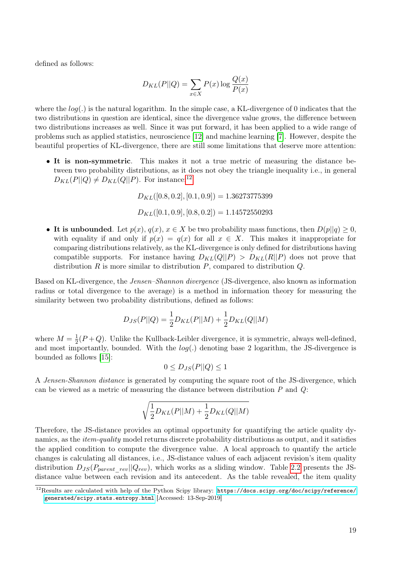defined as follows:

$$
D_{KL}(P||Q) = \sum_{x \in X} P(x) \log \frac{Q(x)}{P(x)}
$$

where the  $log(.)$  is the natural logarithm. In the simple case, a KL-divergence of 0 indicates that the two distributions in question are identical, since the divergence value grows, the difference between two distributions increases as well. Since it was put forward, it has been applied to a wide range of problems such as applied statistics, neuroscience [\[12\]](#page-43-5) and machine learning [\[7\]](#page-42-4). However, despite the beautiful properties of KL-divergence, there are still some limitations that deserve more attention:

• It is non-symmetric. This makes it not a true metric of measuring the distance between two probability distributions, as it does not obey the triangle inequality i.e., in general  $D_{KL}(P||Q) \neq D_{KL}(Q||P)$ . For instance:<sup>[12](#page-18-0)</sup>

> $D_{KL}([0.8, 0.2], [0.1, 0.9]) = 1.36273775399$  $D_{KL}([0.1, 0.9], [0.8, 0.2]) = 1.14572550293$

• It is unbounded. Let  $p(x), q(x), x \in X$  be two probability mass functions, then  $D(p||q) \geq 0$ , with equality if and only if  $p(x) = q(x)$  for all  $x \in X$ . This makes it inappropriate for comparing distributions relatively, as the KL-divergence is only defined for distributions having compatible supports. For instance having  $D_{KL}(Q||P) > D_{KL}(R||P)$  does not prove that distribution  $R$  is more similar to distribution  $P$ , compared to distribution  $Q$ .

Based on KL-divergence, the Jensen–Shannon divergence (JS-divergence, also known as information radius or total divergence to the average) is a method in information theory for measuring the similarity between two probability distributions, defined as follows:

$$
D_{JS}(P||Q) = \frac{1}{2}D_{KL}(P||M) + \frac{1}{2}D_{KL}(Q||M)
$$

where  $M=\frac{1}{2}$  $\frac{1}{2}(P+Q)$ . Unlike the Kullback-Leibler divergence, it is symmetric, always well-defined, and most importantly, bounded. With the  $log(.)$  denoting base 2 logarithm, the JS-divergence is bounded as follows [\[15\]](#page-43-6):

$$
0 \le D_{JS}(P||Q) \le 1
$$

A Jensen-Shannon distance is generated by computing the square root of the JS-divergence, which can be viewed as a metric of measuring the distance between distribution  $P$  and  $Q$ :

$$
\sqrt{\frac{1}{2}D_{KL}(P||M)+\frac{1}{2}D_{KL}(Q||M)}
$$

Therefore, the JS-distance provides an optimal opportunity for quantifying the article quality dynamics, as the *item-quality* model returns discrete probability distributions as output, and it satisfies the applied condition to compute the divergence value. A local approach to quantify the article changes is calculating all distances, i.e., JS-distance values of each adjacent revision's item quality distribution  $D_{JS}(P_{parent\_rev}||Q_{rev})$ , which works as a sliding window. Table [2.2](#page-17-0) presents the JSdistance value between each revision and its antecedent. As the table revealed, the item quality

<span id="page-18-0"></span><sup>&</sup>lt;sup>12</sup>Results are calculated with help of the Python Scipy library: [https://docs.scipy.org/doc/scipy/reference/](https://docs.scipy.org/doc/scipy/reference/generated/scipy.stats.entropy.html) [generated/scipy.stats.entropy.html](https://docs.scipy.org/doc/scipy/reference/generated/scipy.stats.entropy.html) [Accessed: 13-Sep-2019]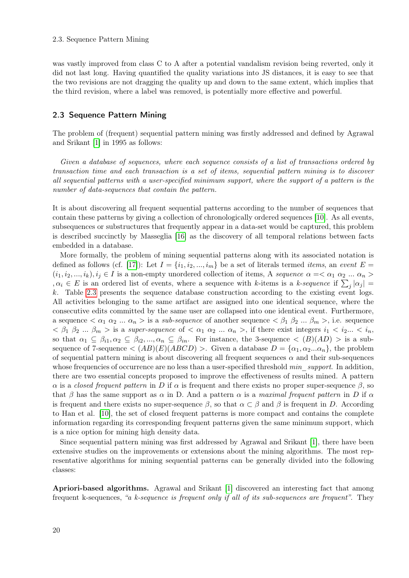was vastly improved from class C to A after a potential vandalism revision being reverted, only it did not last long. Having quantified the quality variations into JS distances, it is easy to see that the two revisions are not dragging the quality up and down to the same extent, which implies that the third revision, where a label was removed, is potentially more effective and powerful.

### <span id="page-19-0"></span>2.3 Sequence Pattern Mining

The problem of (frequent) sequential pattern mining was firstly addressed and defined by Agrawal and Srikant [\[1\]](#page-42-5) in 1995 as follows:

Given a database of sequences, where each sequence consists of a list of transactions ordered by transaction time and each transaction is a set of items, sequential pattern mining is to discover all sequential patterns with a user-specified minimum support, where the support of a pattern is the number of data-sequences that contain the pattern.

It is about discovering all frequent sequential patterns according to the number of sequences that contain these patterns by giving a collection of chronologically ordered sequences [\[10\]](#page-42-6). As all events, subsequences or substructures that frequently appear in a data-set would be captured, this problem is described succinctly by Masseglia [\[16\]](#page-43-7) as the discovery of all temporal relations between facts embedded in a database.

More formally, the problem of mining sequential patterns along with its associated notation is defined as follows (cf. [\[17\]](#page-43-8)): Let  $I = \{i_1, i_2, ..., i_m\}$  be a set of literals termed *items*, an event  $E =$  $(i_1, i_2, ..., i_k), i_j \in I$  is a non-empty unordered collection of items, A sequence  $\alpha = \alpha_1 \alpha_2 ... \alpha_n >$  $, \alpha_i \in E$  is an ordered list of events, where a sequence with k-items is a k-sequence if  $\sum_j |\alpha_j|$  = k. Table [2.3](#page-20-0) presents the sequence database construction according to the existing event logs. All activities belonging to the same artifact are assigned into one identical sequence, where the consecutive edits committed by the same user are collapsed into one identical event. Furthermore, a sequence  $\langle \alpha_1 \alpha_2 ... \alpha_n \rangle$  is a sub-sequence of another sequence  $\langle \beta_1 \beta_2 ... \beta_m \rangle$ , i.e. sequence  $< \beta_1 \ \beta_2 \ ... \ \beta_m >$  is a super-sequence of  $< \alpha_1 \ \alpha_2 \ ... \ \alpha_n >$ , if there exist integers  $i_1 < i_2 ... < i_n$ , so that  $\alpha_1 \subseteq \beta_{i1}, \alpha_2 \subseteq \beta_{i2}, ..., \alpha_n \subseteq \beta_{in}$ . For instance, the 3-sequence  $\langle (B)(AD) \rangle$  is a subsequence of 7-sequence  $\langle (AB)(E)(ABCD) \rangle$ . Given a database  $D = {\alpha_1, \alpha_2 ... \alpha_n}$ , the problem of sequential pattern mining is about discovering all frequent sequences  $\alpha$  and their sub-sequences whose frequencies of occurrence are no less than a user-specified threshold  $min\_support$ . In addition, there are two essential concepts proposed to improve the effectiveness of results mined. A pattern α is a closed frequent pattern in D if  $\alpha$  is frequent and there exists no proper super-sequence  $\beta$ , so that β has the same support as  $\alpha$  in D. And a pattern  $\alpha$  is a maximal frequent pattern in D if  $\alpha$ is frequent and there exists no super-sequence  $\beta$ , so that  $\alpha \subset \beta$  and  $\beta$  is frequent in D. According to Han et al. [\[10\]](#page-42-6), the set of closed frequent patterns is more compact and contains the complete information regarding its corresponding frequent patterns given the same minimum support, which is a nice option for mining high density data.

Since sequential pattern mining was first addressed by Agrawal and Srikant [\[1\]](#page-42-5), there have been extensive studies on the improvements or extensions about the mining algorithms. The most representative algorithms for mining sequential patterns can be generally divided into the following classes:

Apriori-based algorithms. Agrawal and Srikant [\[1\]](#page-42-5) discovered an interesting fact that among frequent k-sequences, "a k-sequence is frequent only if all of its sub-sequences are frequent". They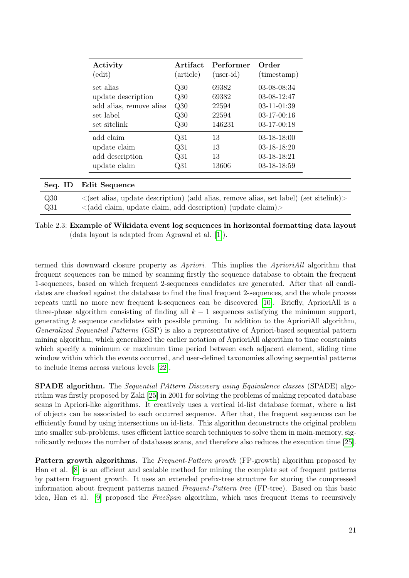<span id="page-20-0"></span>

| Activity<br>$(\text{edit})$ | Artifact<br>(article) | Performer<br>$(user-id)$ | Order<br>$(\text{timestamp})$ |
|-----------------------------|-----------------------|--------------------------|-------------------------------|
| set alias                   | Q30                   | 69382                    | $03-08-08:34$                 |
| update description          | Q30                   | 69382                    | $03-08-12:47$                 |
| add alias, remove alias     | Q30                   | 22594                    | $03 - 11 - 01:39$             |
| set label                   | Q30                   | 22594                    | $03 - 17 - 00:16$             |
| set sitelink                | Q30                   | 146231                   | $03-17-00:18$                 |
| add claim                   | Q31                   | 13                       | $03 - 18 - 18:00$             |
| update claim                | Q31                   | 13                       | $03 - 18 - 18:20$             |
| add description             | Q31                   | 13                       | $03 - 18 - 18:21$             |
| update claim                | Q31                   | 13606                    | 03-18-18:59                   |

| Seq. ID |  |  | Edit Sequence |
|---------|--|--|---------------|
|---------|--|--|---------------|

| Q30 | $\langle$ (set alias, update description) (add alias, remove alias, set label) (set sitelink)  |
|-----|------------------------------------------------------------------------------------------------|
| Q31 | $\langle \text{add claim}, \text{update claim}, \text{add description} \rangle$ (update claim) |

## Table 2.3: Example of Wikidata event log sequences in horizontal formatting data layout (data layout is adapted from Agrawal et al. [\[1\]](#page-42-5)).

termed this downward closure property as Apriori. This implies the AprioriAll algorithm that frequent sequences can be mined by scanning firstly the sequence database to obtain the frequent 1-sequences, based on which frequent 2-sequences candidates are generated. After that all candidates are checked against the database to find the final frequent 2-sequences, and the whole process repeats until no more new frequent k-sequences can be discovered [\[10\]](#page-42-6). Briefly, AprioriAll is a three-phase algorithm consisting of finding all  $k - 1$  sequences satisfying the minimum support, generating  $k$  sequence candidates with possible pruning. In addition to the AprioriAll algorithm, Generalized Sequential Patterns (GSP) is also a representative of Apriori-based sequential pattern mining algorithm, which generalized the earlier notation of AprioriAll algorithm to time constraints which specify a minimum or maximum time period between each adjacent element, sliding time window within which the events occurred, and user-defined taxonomies allowing sequential patterns to include items across various levels [\[22\]](#page-43-9).

SPADE algorithm. The *Sequential PAttern Discovery using Equivalence classes* (SPADE) algorithm was firstly proposed by Zaki [\[25\]](#page-44-1) in 2001 for solving the problems of making repeated database scans in Apriori-like algorithms. It creatively uses a vertical id-list database format, where a list of objects can be associated to each occurred sequence. After that, the frequent sequences can be efficiently found by using intersections on id-lists. This algorithm deconstructs the original problem into smaller sub-problems, uses efficient lattice search techniques to solve them in main-memory, significantly reduces the number of databases scans, and therefore also reduces the execution time [\[25\]](#page-44-1).

Pattern growth algorithms. The Frequent-Pattern growth (FP-growth) algorithm proposed by Han et al. [\[8\]](#page-42-7) is an efficient and scalable method for mining the complete set of frequent patterns by pattern fragment growth. It uses an extended prefix-tree structure for storing the compressed information about frequent patterns named Frequent-Pattern tree (FP-tree). Based on this basic idea, Han et al. [\[9\]](#page-42-8) proposed the FreeSpan algorithm, which uses frequent items to recursively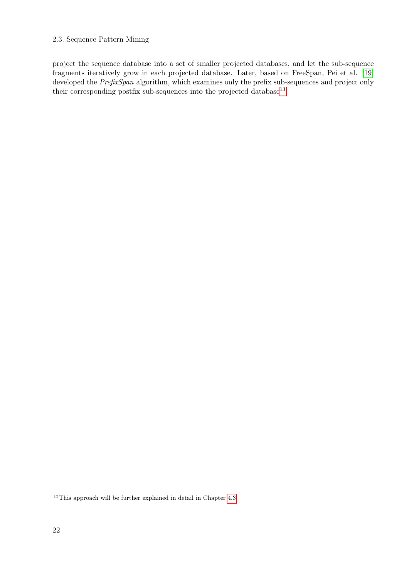### 2.3. Sequence Pattern Mining

project the sequence database into a set of smaller projected databases, and let the sub-sequence fragments iteratively grow in each projected database. Later, based on FreeSpan, Pei et al. [\[19\]](#page-43-10) developed the PrefixSpan algorithm, which examines only the prefix sub-sequences and project only their corresponding postfix sub-sequences into the projected database<sup>[13](#page-21-0)</sup>.

<span id="page-21-0"></span> $\overline{^{13}$  This approach will be further explained in detail in Chapter [4.3.](#page-34-0)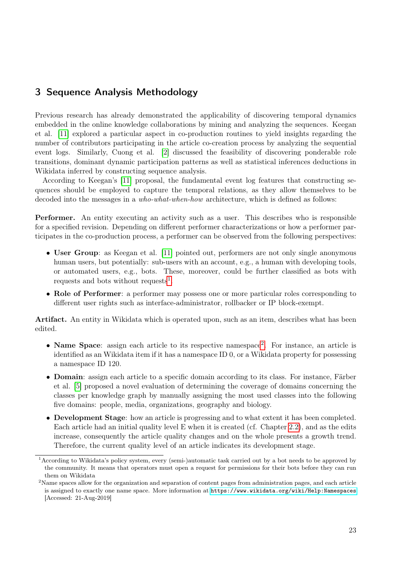# <span id="page-22-0"></span>3 Sequence Analysis Methodology

Previous research has already demonstrated the applicability of discovering temporal dynamics embedded in the online knowledge collaborations by mining and analyzing the sequences. Keegan et al. [\[11\]](#page-43-0) explored a particular aspect in co-production routines to yield insights regarding the number of contributors participating in the article co-creation process by analyzing the sequential event logs. Similarly, Cuong et al. [\[2\]](#page-42-2) discussed the feasibility of discovering ponderable role transitions, dominant dynamic participation patterns as well as statistical inferences deductions in Wikidata inferred by constructing sequence analysis.

According to Keegan's [\[11\]](#page-43-0) proposal, the fundamental event log features that constructing sequences should be employed to capture the temporal relations, as they allow themselves to be decoded into the messages in a *who-what-when-how* architecture, which is defined as follows:

Performer. An entity executing an activity such as a user. This describes who is responsible for a specified revision. Depending on different performer characterizations or how a performer participates in the co-production process, a performer can be observed from the following perspectives:

- User Group: as Keegan et al. [\[11\]](#page-43-0) pointed out, performers are not only single anonymous human users, but potentially: sub-users with an account, e.g., a human with developing tools, or automated users, e.g., bots. These, moreover, could be further classified as bots with requests and bots without requests<sup>[1](#page-22-1)</sup>.
- Role of Performer: a performer may possess one or more particular roles corresponding to different user rights such as interface-administrator, rollbacker or IP block-exempt.

Artifact. An entity in Wikidata which is operated upon, such as an item, describes what has been edited.

- Name Space: assign each article to its respective namespace<sup>[2](#page-22-2)</sup>. For instance, an article is identified as an Wikidata item if it has a namespace ID 0, or a Wikidata property for possessing a namespace ID 120.
- Domain: assign each article to a specific domain according to its class. For instance, Färber et al. [\[5\]](#page-42-9) proposed a novel evaluation of determining the coverage of domains concerning the classes per knowledge graph by manually assigning the most used classes into the following five domains: people, media, organizations, geography and biology.
- Development Stage: how an article is progressing and to what extent it has been completed. Each article had an initial quality level E when it is created (cf. Chapter [2.2\)](#page-15-0), and as the edits increase, consequently the article quality changes and on the whole presents a growth trend. Therefore, the current quality level of an article indicates its development stage.

<span id="page-22-1"></span><sup>1</sup>According to Wikidata's policy system, every (semi-)automatic task carried out by a bot needs to be approved by the community. It means that operators must open a request for permissions for their bots before they can run them on Wikidata

<span id="page-22-2"></span> $2$ Name spaces allow for the organization and separation of content pages from administration pages, and each article is assigned to exactly one name space. More information at <https://www.wikidata.org/wiki/Help:Namespaces> [Accessed: 21-Aug-2019]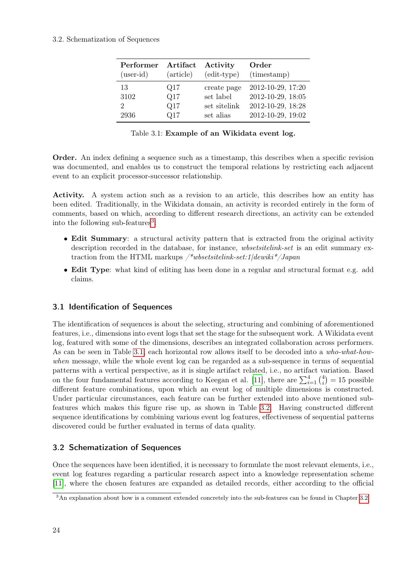<span id="page-23-2"></span>

| Performer   | Artifact  | Activity      | Order             |
|-------------|-----------|---------------|-------------------|
| $(user-id)$ | (article) | $(edit-type)$ | (timestamp)       |
| 13          | Q17       | create page   | 2012-10-29, 17:20 |
| 3102        | Q17       | set label     | 2012-10-29, 18:05 |
| 2           | Q17       | set sitelink  | 2012-10-29, 18:28 |
| 2936        | Q17       | set alias     | 2012-10-29, 19:02 |

Table 3.1: Example of an Wikidata event log.

Order. An index defining a sequence such as a timestamp, this describes when a specific revision was documented, and enables us to construct the temporal relations by restricting each adjacent event to an explicit processor-successor relationship.

Activity. A system action such as a revision to an article, this describes how an entity has been edited. Traditionally, in the Wikidata domain, an activity is recorded entirely in the form of comments, based on which, according to different research directions, an activity can be extended into the following sub-features<sup>[3](#page-23-3)</sup>:

- Edit Summary: a structural activity pattern that is extracted from the original activity description recorded in the database, for instance, *wbsetsitelink-set* is an edit summary extraction from the HTML markups /\*wbsetsitelink-set:1|dewiki\*/Japan
- Edit Type: what kind of editing has been done in a regular and structural format e.g. add claims.

## <span id="page-23-0"></span>3.1 Identification of Sequences

The identification of sequences is about the selecting, structuring and combining of aforementioned features, i.e., dimensions into event logs that set the stage for the subsequent work. A Wikidata event log, featured with some of the dimensions, describes an integrated collaboration across performers. As can be seen in Table [3.1,](#page-23-2) each horizontal row allows itself to be decoded into a who-what-howwhen message, while the whole event log can be regarded as a sub-sequence in terms of sequential patterns with a vertical perspective, as it is single artifact related, i.e., no artifact variation. Based on the four fundamental features according to Keegan et al. [\[11\]](#page-43-0), there are  $\sum_{i=1}^{4} \binom{4}{i}$  $\binom{4}{i} = 15$  possible different feature combinations, upon which an event log of multiple dimensions is constructed. Under particular circumstances, each feature can be further extended into above mentioned subfeatures which makes this figure rise up, as shown in Table [3.2.](#page-24-0) Having constructed different sequence identifications by combining various event log features, effectiveness of sequential patterns discovered could be further evaluated in terms of data quality.

## <span id="page-23-1"></span>3.2 Schematization of Sequences

Once the sequences have been identified, it is necessary to formulate the most relevant elements, i.e., event log features regarding a particular research aspect into a knowledge representation scheme [\[11\]](#page-43-0), where the chosen features are expanded as detailed records, either according to the official

<span id="page-23-3"></span><sup>&</sup>lt;sup>3</sup>An explanation about how is a comment extended concretely into the sub-features can be found in Chapter [3.2](#page-23-1)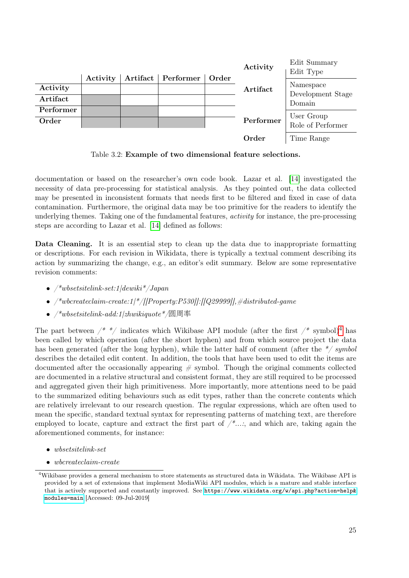<span id="page-24-0"></span>

|           |          | Artifact | Performer | Order | Activity  | Edit Summary<br>Edit Type   |
|-----------|----------|----------|-----------|-------|-----------|-----------------------------|
| Activity  | Activity |          |           |       | Artifact  | Namespace                   |
| Artifact  |          |          |           |       |           | Development Stage<br>Domain |
| Performer |          |          |           |       |           | User Group                  |
| Order     |          |          |           |       | Performer | Role of Performer           |
|           |          |          |           |       | Order     | Time Range                  |

Table 3.2: Example of two dimensional feature selections.

documentation or based on the researcher's own code book. Lazar et al. [\[14\]](#page-43-11) investigated the necessity of data pre-processing for statistical analysis. As they pointed out, the data collected may be presented in inconsistent formats that needs first to be filtered and fixed in case of data contamination. Furthermore, the original data may be too primitive for the readers to identify the underlying themes. Taking one of the fundamental features, *activity* for instance, the pre-processing steps are according to Lazar et al. [\[14\]](#page-43-11) defined as follows:

Data Cleaning. It is an essential step to clean up the data due to inappropriate formatting or descriptions. For each revision in Wikidata, there is typically a textual comment describing its action by summarizing the change, e.g., an editor's edit summary. Below are some representative revision comments:

- $/*_{{\rm 2}+{\rm 2}+{\rm 3}+{\rm 4}+{\rm 4}+{\rm 4}+{\rm 4}+{\rm 4}+{\rm 4}+{\rm 4}+{\rm 4}+{\rm 4}+{\rm 4}+{\rm 4}+{\rm 4}+{\rm 4}+{\rm 4}+{\rm 4}+{\rm 4}+{\rm 4}+{\rm 4}+{\rm 4}+{\rm 4}+{\rm 4}+{\rm 4}+{\rm 4}+{\rm 4}+{\rm 4}+{\rm 4}+{\rm 4}+{\rm 4}+{\rm 4}+{\rm 4}+{\rm 4}+{\rm 4}+{\rm 4}$
- /\*wbcreateclaim-create:1|\*/[[Property:P530]]:[[Q29999]],#distributed-game
- /\*wbsetsitelink-add:1|zhwikiquote\*/圆周率

The part between  $\frac{\ell^*}{\ell}$  indicates which Wikibase API module (after the first  $\frac{\ell^*}{\ell}$  symbol)<sup>[4](#page-24-1)</sup> has been called by which operation (after the short hyphen) and from which source project the data has been generated (after the long hyphen), while the latter half of comment (after the  $*/$  symbol describes the detailed edit content. In addition, the tools that have been used to edit the items are documented after the occasionally appearing  $\#$  symbol. Though the original comments collected are documented in a relative structural and consistent format, they are still required to be processed and aggregated given their high primitiveness. More importantly, more attentions need to be paid to the summarized editing behaviours such as edit types, rather than the concrete contents which are relatively irrelevant to our research question. The regular expressions, which are often used to mean the specific, standard textual syntax for representing patterns of matching text, are therefore employed to locate, capture and extract the first part of  $\big/$ \*....; and which are, taking again the aforementioned comments, for instance:

- wbsetsitelink-set
- wbcreateclaim-create

<span id="page-24-1"></span><sup>4</sup>Wikibase provides a general mechanism to store statements as structured data in Wikidata. The Wikibase API is provided by a set of extensions that implement MediaWiki API modules, which is a mature and stable interface that is actively supported and constantly improved. See [https://www.wikidata.org/w/api.php?action=help&](https://www.wikidata.org/w/api.php?action=help&modules=main) [modules=main](https://www.wikidata.org/w/api.php?action=help&modules=main) [Accessed: 09-Jul-2019]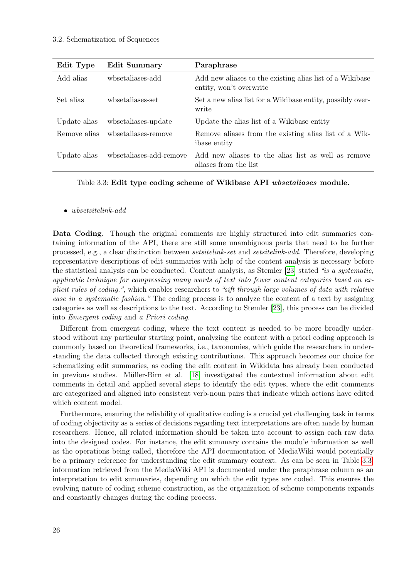<span id="page-25-0"></span>

| Edit Type    | Edit Summary            | Paraphrase                                                                          |
|--------------|-------------------------|-------------------------------------------------------------------------------------|
| Add alias    | whsetaliases-add        | Add new aliases to the existing alias list of a Wikibase<br>entity, won't overwrite |
| Set alias    | whsetaliases-set        | Set a new alias list for a Wikibase entity, possibly over-<br>write                 |
| Update alias | wheetaliases-update     | Update the alias list of a Wikibase entity                                          |
| Remove alias | whsetaliases-remove     | Remove aliases from the existing alias list of a Wik-<br>ibase entity               |
| Update alias | wbsetaliases-add-remove | Add new aliases to the alias list as well as remove<br>aliases from the list        |

Table 3.3: Edit type coding scheme of Wikibase API wbsetaliases module.

#### • wbsetsitelink-add

Data Coding. Though the original comments are highly structured into edit summaries containing information of the API, there are still some unambiguous parts that need to be further processed, e.g., a clear distinction between setsitelink-set and setsitelink-add. Therefore, developing representative descriptions of edit summaries with help of the content analysis is necessary before the statistical analysis can be conducted. Content analysis, as Stemler [\[23\]](#page-44-2) stated "is a systematic, applicable technique for compressing many words of text into fewer content categories based on explicit rules of coding.", which enables researchers to "sift through large volumes of data with relative ease in a systematic fashion." The coding process is to analyze the content of a text by assigning categories as well as descriptions to the text. According to Stemler [\[23\]](#page-44-2), this process can be divided into Emergent coding and a Priori coding.

Different from emergent coding, where the text content is needed to be more broadly understood without any particular starting point, analyzing the content with a priori coding approach is commonly based on theoretical frameworks, i.e., taxonomies, which guide the researchers in understanding the data collected through existing contributions. This approach becomes our choice for schematizing edit summaries, as coding the edit content in Wikidata has already been conducted in previous studies. Müller-Birn et al. [\[18\]](#page-43-2) investigated the contextual information about edit comments in detail and applied several steps to identify the edit types, where the edit comments are categorized and aligned into consistent verb-noun pairs that indicate which actions have edited which content model.

Furthermore, ensuring the reliability of qualitative coding is a crucial yet challenging task in terms of coding objectivity as a series of decisions regarding text interpretations are often made by human researchers. Hence, all related information should be taken into account to assign each raw data into the designed codes. For instance, the edit summary contains the module information as well as the operations being called, therefore the API documentation of MediaWiki would potentially be a primary reference for understanding the edit summary context. As can be seen in Table [3.3,](#page-25-0) information retrieved from the MediaWiki API is documented under the paraphrase column as an interpretation to edit summaries, depending on which the edit types are coded. This ensures the evolving nature of coding scheme construction, as the organization of scheme components expands and constantly changes during the coding process.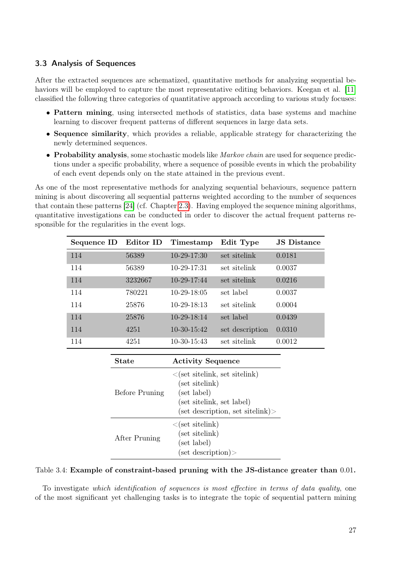## <span id="page-26-0"></span>3.3 Analysis of Sequences

After the extracted sequences are schematized, quantitative methods for analyzing sequential be-haviors will be employed to capture the most representative editing behaviors. Keegan et al. [\[11\]](#page-43-0) classified the following three categories of quantitative approach according to various study focuses:

- Pattern mining, using intersected methods of statistics, data base systems and machine learning to discover frequent patterns of different sequences in large data sets.
- Sequence similarity, which provides a reliable, applicable strategy for characterizing the newly determined sequences.
- Probability analysis, some stochastic models like  $Markov chain$  are used for sequence predictions under a specific probability, where a sequence of possible events in which the probability of each event depends only on the state attained in the previous event.

As one of the most representative methods for analyzing sequential behaviours, sequence pattern mining is about discovering all sequential patterns weighted according to the number of sequences that contain these patterns [\[24\]](#page-44-0) (cf. Chapter [2.3\)](#page-19-0). Having employed the sequence mining algorithms, quantitative investigations can be conducted in order to discover the actual frequent patterns responsible for the regularities in the event logs.

<span id="page-26-1"></span>

| Sequence ID | Editor ID | Timestamp         | Edit Type       | <b>JS</b> Distance |
|-------------|-----------|-------------------|-----------------|--------------------|
| 114         | 56389     | $10-29-17:30$     | set sitelink    | 0.0181             |
| 114         | 56389     | $10 - 29 - 17:31$ | set sitelink    | 0.0037             |
| 114         | 3232667   | 10-29-17:44       | set sitelink    | 0.0216             |
| 114         | 780221    | $10-29-18:05$     | set label       | 0.0037             |
| 114         | 25876     | $10 - 29 - 18:13$ | set sitelink    | 0.0004             |
| 114         | 25876     | 10-29-18:14       | set label       | 0.0439             |
| 114         | 4251      | 10-30-15:42       | set description | 0.0310             |
| 114         | 4251      | 10-30-15:43       | set sitelink    | 0.0012             |

| State          | <b>Activity Sequence</b>                                                                                                                                |
|----------------|---------------------------------------------------------------------------------------------------------------------------------------------------------|
| Before Pruning | $\langle$ (set sitelink, set sitelink)<br>(set sitelink)<br>(set label)<br>(set sitelink, set label)<br>$(\text{set description}, \text{set sitelink})$ |
| After Pruning  | $\langle$ set sitelink)<br>(set sitelink)<br>(set label)<br>(set description)                                                                           |

### Table 3.4: Example of constraint-based pruning with the JS-distance greater than 0.01.

To investigate which identification of sequences is most effective in terms of data quality, one of the most significant yet challenging tasks is to integrate the topic of sequential pattern mining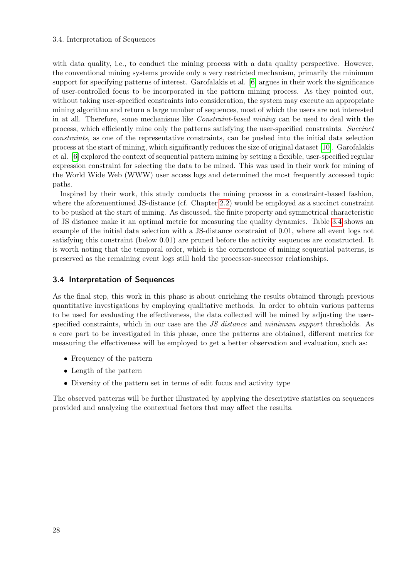with data quality, i.e., to conduct the mining process with a data quality perspective. However, the conventional mining systems provide only a very restricted mechanism, primarily the minimum support for specifying patterns of interest. Garofalakis et al. [\[6\]](#page-42-10) argues in their work the significance of user-controlled focus to be incorporated in the pattern mining process. As they pointed out, without taking user-specified constraints into consideration, the system may execute an appropriate mining algorithm and return a large number of sequences, most of which the users are not interested in at all. Therefore, some mechanisms like Constraint-based mining can be used to deal with the process, which efficiently mine only the patterns satisfying the user-specified constraints. Succinct constraints, as one of the representative constraints, can be pushed into the initial data selection process at the start of mining, which significantly reduces the size of original dataset [\[10\]](#page-42-6). Garofalakis et al. [\[6\]](#page-42-10) explored the context of sequential pattern mining by setting a flexible, user-specified regular expression constraint for selecting the data to be mined. This was used in their work for mining of the World Wide Web (WWW) user access logs and determined the most frequently accessed topic paths.

Inspired by their work, this study conducts the mining process in a constraint-based fashion, where the aforementioned JS-distance (cf. Chapter [2.2\)](#page-15-0) would be employed as a succinct constraint to be pushed at the start of mining. As discussed, the finite property and symmetrical characteristic of JS distance make it an optimal metric for measuring the quality dynamics. Table [3.4](#page-26-1) shows an example of the initial data selection with a JS-distance constraint of 0.01, where all event logs not satisfying this constraint (below 0.01) are pruned before the activity sequences are constructed. It is worth noting that the temporal order, which is the cornerstone of mining sequential patterns, is preserved as the remaining event logs still hold the processor-successor relationships.

### <span id="page-27-0"></span>3.4 Interpretation of Sequences

As the final step, this work in this phase is about enriching the results obtained through previous quantitative investigations by employing qualitative methods. In order to obtain various patterns to be used for evaluating the effectiveness, the data collected will be mined by adjusting the userspecified constraints, which in our case are the *JS distance* and *minimum support* thresholds. As a core part to be investigated in this phase, once the patterns are obtained, different metrics for measuring the effectiveness will be employed to get a better observation and evaluation, such as:

- Frequency of the pattern
- Length of the pattern
- Diversity of the pattern set in terms of edit focus and activity type

The observed patterns will be further illustrated by applying the descriptive statistics on sequences provided and analyzing the contextual factors that may affect the results.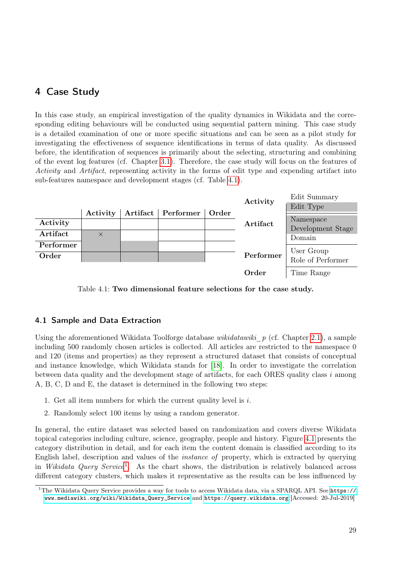# <span id="page-28-0"></span>4 Case Study

In this case study, an empirical investigation of the quality dynamics in Wikidata and the corresponding editing behaviours will be conducted using sequential pattern mining. This case study is a detailed examination of one or more specific situations and can be seen as a pilot study for investigating the effectiveness of sequence identifications in terms of data quality. As discussed before, the identification of sequences is primarily about the selecting, structuring and combining of the event log features (cf. Chapter [3.1\)](#page-23-0). Therefore, the case study will focus on the features of Activity and Artifact, representing activity in the forms of edit type and expending artifact into sub-features namespace and development stages (cf. Table [4.1\)](#page-28-2).

<span id="page-28-2"></span>

|           |          |          |                   |       | Activity  | Edit Summary      |
|-----------|----------|----------|-------------------|-------|-----------|-------------------|
|           |          |          |                   |       |           | Edit Type         |
|           | Activity | Artifact | $\vert$ Performer | Order |           | Namespace         |
| Activity  |          |          |                   |       | Artifact  |                   |
| Artifact  | $\times$ |          |                   |       |           | Development Stage |
|           |          |          |                   |       |           | Domain            |
| Performer |          |          |                   |       |           | User Group        |
| Order     |          |          |                   |       | Performer | Role of Performer |
|           |          |          |                   |       |           |                   |
|           |          |          |                   |       | Order     | Time Range        |

Table 4.1: Two dimensional feature selections for the case study.

## <span id="page-28-1"></span>4.1 Sample and Data Extraction

Using the aforementioned Wikidata Toolforge database *wikidatawiki*  $p$  (cf. Chapter [2.1\)](#page-14-1), a sample including 500 randomly chosen articles is collected. All articles are restricted to the namespace 0 and 120 (items and properties) as they represent a structured dataset that consists of conceptual and instance knowledge, which Wikidata stands for [\[18\]](#page-43-2). In order to investigate the correlation between data quality and the development stage of artifacts, for each ORES quality class  $i$  among A, B, C, D and E, the dataset is determined in the following two steps:

- 1. Get all item numbers for which the current quality level is  $i$ .
- 2. Randomly select 100 items by using a random generator.

In general, the entire dataset was selected based on randomization and covers diverse Wikidata topical categories including culture, science, geography, people and history. Figure [4.1](#page-29-0) presents the category distribution in detail, and for each item the content domain is classified according to its English label, description and values of the instance of property, which is extracted by querying in Wikidata Query Service<sup>[1](#page-28-3)</sup>. As the chart shows, the distribution is relatively balanced across different category clusters, which makes it representative as the results can be less influenced by

<span id="page-28-3"></span><sup>1</sup>The Wikidata Query Service provides a way for tools to access Wikidata data, via a SPARQL API. See [https://](https://www.mediawiki.org/wiki/Wikidata_Query_Service) [www.mediawiki.org/wiki/Wikidata\\_Query\\_Service](https://www.mediawiki.org/wiki/Wikidata_Query_Service) and <https://query.wikidata.org> [Accessed: 20-Jul-2019]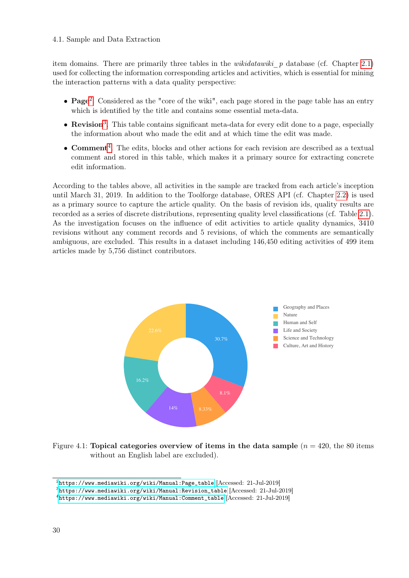### 4.1. Sample and Data Extraction

item domains. There are primarily three tables in the *wikidatawiki*  $p$  database (cf. Chapter [2.1\)](#page-14-1) used for collecting the information corresponding articles and activities, which is essential for mining the interaction patterns with a data quality perspective:

- $\bullet$  Page<sup>[2](#page-29-1)</sup>. Considered as the "core of the wiki", each page stored in the page table has an entry which is identified by the title and contains some essential meta-data.
- $\bullet$  Revision<sup>[3](#page-29-2)</sup>. This table contains significant meta-data for every edit done to a page, especially the information about who made the edit and at which time the edit was made.
- Comment<sup>[4](#page-29-3)</sup>. The edits, blocks and other actions for each revision are described as a textual comment and stored in this table, which makes it a primary source for extracting concrete edit information.

According to the tables above, all activities in the sample are tracked from each article's inception until March 31, 2019. In addition to the Toolforge database, ORES API (cf. Chapter [2.2\)](#page-15-0) is used as a primary source to capture the article quality. On the basis of revision ids, quality results are recorded as a series of discrete distributions, representing quality level classifications (cf. Table [2.1\)](#page-16-0). As the investigation focuses on the influence of edit activities to article quality dynamics, 3410 revisions without any comment records and 5 revisions, of which the comments are semantically ambiguous, are excluded. This results in a dataset including 146,450 editing activities of 499 item articles made by 5,756 distinct contributors.

<span id="page-29-0"></span>

Figure 4.1: Topical categories overview of items in the data sample  $(n = 420,$  the 80 items without an English label are excluded).

<span id="page-29-1"></span> $^2$ [https://www.mediawiki.org/wiki/Manual:Page\\_table](https://www.mediawiki.org/wiki/Manual:Page_table) [ $\text{Accessed: } 21\text{-} \text{Jul-}2019]$ 

<span id="page-29-2"></span> $^3$ [https://www.mediawiki.org/wiki/Manual:Revision\\_table](https://www.mediawiki.org/wiki/Manual:Revision_table) [ $\Lambda$ ccessed: 21-Jul-2019]

<span id="page-29-3"></span><sup>4</sup> [https://www.mediawiki.org/wiki/Manual:Comment\\_table](https://www.mediawiki.org/wiki/Manual:Comment_table) [Accessed: 21-Jul-2019]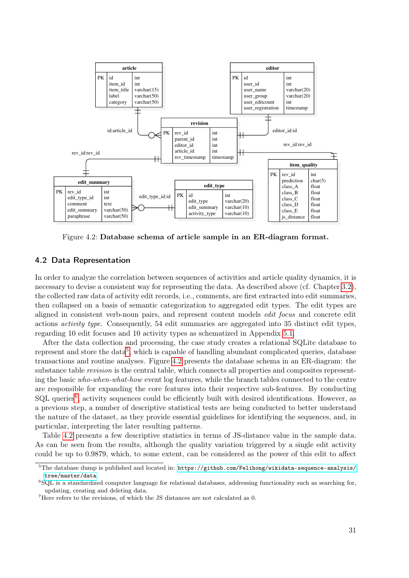<span id="page-30-1"></span>

Figure 4.2: Database schema of article sample in an ER-diagram format.

### <span id="page-30-0"></span>4.2 Data Representation

In order to analyze the correlation between sequences of activities and article quality dynamics, it is necessary to devise a consistent way for representing the data. As described above (cf. Chapter [3.2\)](#page-23-1), the collected raw data of activity edit records, i.e., comments, are first extracted into edit summaries, then collapsed on a basis of semantic categorization to aggregated edit types. The edit types are aligned in consistent verb-noun pairs, and represent content models edit focus and concrete edit actions activity type. Consequently, 54 edit summaries are aggregated into 35 distinct edit types, regarding 10 edit focuses and 10 activity types as schematized in Appendix [5.1.](#page-46-1)

After the data collection and processing, the case study creates a relational SQLite database to represent and store the data<sup>[5](#page-30-2)</sup>, which is capable of handling abundant complicated queries, database transactions and routine analyses. Figure [4.2](#page-30-1) presents the database schema in an ER-diagram: the substance table *revision* is the central table, which connects all properties and composites representing the basic who-when-what-how event log features, while the branch tables connected to the centre are responsible for expanding the core features into their respective sub-features. By conducting SQL queries<sup>[6](#page-30-3)</sup>, activity sequences could be efficiently built with desired identifications. However, as a previous step, a number of descriptive statistical tests are being conducted to better understand the nature of the dataset, as they provide essential guidelines for identifying the sequences, and, in particular, interpreting the later resulting patterns.

Table [4.2](#page-31-0) presents a few descriptive statistics in terms of JS-distance value in the sample data. As can be seen from the results, although the quality variation triggered by a single edit activity could be up to 0.9879, which, to some extent, can be considered as the power of this edit to affect

<span id="page-30-2"></span> $5$ The database dump is published and located in: [https://github.com/Felihong/wikidata-sequence-analysis/](https://github.com/Felihong/wikidata-sequence-analysis/tree/master/data) [tree/master/data](https://github.com/Felihong/wikidata-sequence-analysis/tree/master/data).

<span id="page-30-3"></span> ${}^{6}$ SQL is a standardized computer language for relational databases, addressing functionality such as searching for, updating, creating and deleting data.

<span id="page-30-4"></span> $7$  Here refers to the revisions, of which the JS distances are not calculated as 0.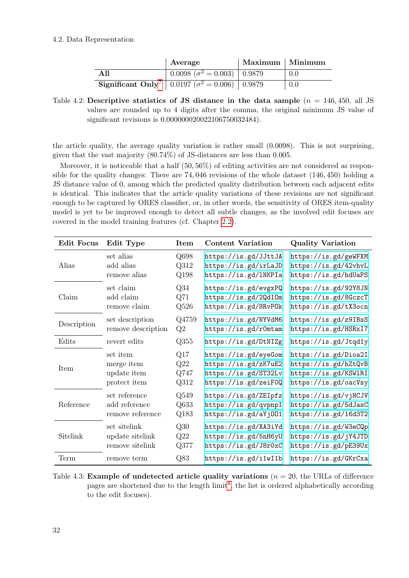<span id="page-31-0"></span>

|      | Average                                                                                 | $\mid$ Maximum $\mid$ Minimum |     |
|------|-----------------------------------------------------------------------------------------|-------------------------------|-----|
| A 11 | $\boxed{0.0098 \ (\sigma^2 = 0.003) \   \ 0.9879}$                                      |                               | 0.0 |
|      | <b>Significant Only</b> <sup>7</sup>   0.0197 ( $\sigma$ <sup>2</sup> = 0.006)   0.9879 |                               | 0.0 |

Table 4.2: Descriptive statistics of JS distance in the data sample  $(n = 146, 450,$  all JS values are rounded up to 4 digits after the comma, the original minimum JS value of significant revisions is 0.000000020022106750032484).

the article quality, the average quality variation is rather small (0.0098). This is not surprising, given that the vast majority (80.74%) of JS-distances are less than 0.005.

Moreover, it is noticeable that a half (50, 56%) of editing activities are not considered as responsible for the quality changes: There are 74, 046 revisions of the whole dataset (146, 450) holding a JS distance value of 0, among which the predicted quality distribution between each adjacent edits is identical. This indicates that the article quality variations of these revisions are not significant enough to be captured by ORES classifier, or, in other words, the sensitivity of ORES item-quality model is yet to be improved enough to detect all subtle changes, as the involved edit focuses are covered in the model training features (cf. Chapter [2.2\)](#page-15-0).

<span id="page-31-1"></span>

| <b>Edit Focus</b> | Edit Type          | Item  | <b>Content Variation</b> | <b>Quality Variation</b> |
|-------------------|--------------------|-------|--------------------------|--------------------------|
| Alias             | set alias          | Q698  | https://is.gd/JJttJA     | https://is.gd/geWFXM     |
|                   | add alias          | Q312  | https://is.gd/irLaJD     | https://is.gd/42vhvL     |
|                   | remove alias       | Q198  | https://is.gd/1NKPIa     | https://is.gd/hdUaPS     |
| Claim             | set claim          | Q34   | https://is.gd/evgxPQ     | https://is.gd/92Y8JN     |
|                   | add claim          | Q71   | https://is.gd/2Qd10m     | https://is.gd/8GczcT     |
|                   | remove claim       | Q526  | https://is.gd/8RvP0k     | https://is.gd/tX3ocn     |
| Description       | set description    | Q4759 | https://is.gd/NYVdM6     | https://is.gd/z9IBsS     |
|                   | remove description | Q2    | https://is.gd/r0mtam     | https://is.gd/HSRxI7     |
| Edits             | revert edits       | Q355  | https://is.gd/DtNIZg     | https://is.gd/Jtqd1y     |
| Item              | set item           | Q17   | https://is.gd/eyeGom     | https://is.gd/Dioa2I     |
|                   | merge item         | Q22   | https://is.gd/zK7uE2     | https://is.gd/hZtQvB     |
|                   | update item        | Q747  | https://is.gd/ST32Lv     | https://is.gd/KSW1RI     |
|                   | protect item       | Q312  | https://is.gd/zeiF0Q     | https://is.gd/oacVsy     |
| Reference         | set reference      | Q549  | https://is.gd/ZEIpfz     | https://is.gd/vjHCJV     |
|                   | add reference      | Q633  | https://is.gd/qvpnpI     | https://is.gd/5dJasC     |
|                   | remove reference   | Q183  | https://is.gd/aYj001     | https://is.gd/16d3T2     |
| Sitelink          | set sitelink       | Q30   | https://is.gd/XA3iYd     | https://is.gd/W3eCQp     |
|                   | update sitelink    | Q22   | https://is.gd/5nH6yU     | https://is.gd/jY4JTD     |
|                   | remove sitelink    | Q377  | https://is.gd/J8r0xC     | https://is.gd/pE39Ux     |
| Term              | remove term        | Q83   | https://is.gd/i1wI1b     | https://is.gd/GKrCxa     |

Table 4.3: **Example of undetected article quality variations**  $(n = 20,$  the URLs of difference pages are shortened due to the length  $\text{limit}^8$  $\text{limit}^8$ , the list is ordered alphabetically according to the edit focuses).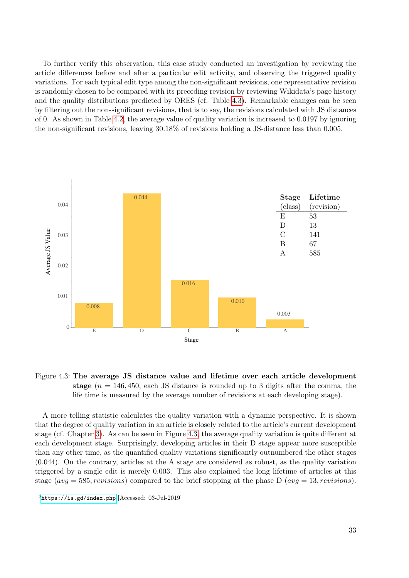To further verify this observation, this case study conducted an investigation by reviewing the article differences before and after a particular edit activity, and observing the triggered quality variations. For each typical edit type among the non-significant revisions, one representative revision is randomly chosen to be compared with its preceding revision by reviewing Wikidata's page history and the quality distributions predicted by ORES (cf. Table [4.3\)](#page-31-1). Remarkable changes can be seen by filtering out the non-significant revisions, that is to say, the revisions calculated with JS distances of 0. As shown in Table [4.2,](#page-31-0) the average value of quality variation is increased to 0.0197 by ignoring the non-significant revisions, leaving 30.18% of revisions holding a JS-distance less than 0.005.

<span id="page-32-0"></span>

Figure 4.3: The average JS distance value and lifetime over each article development stage  $(n = 146, 450, \text{ each JS distance is rounded up to 3 digits after the comma, the$ life time is measured by the average number of revisions at each developing stage).

A more telling statistic calculates the quality variation with a dynamic perspective. It is shown that the degree of quality variation in an article is closely related to the article's current development stage (cf. Chapter [3\)](#page-22-0). As can be seen in Figure [4.3,](#page-32-0) the average quality variation is quite different at each development stage. Surprisingly, developing articles in their D stage appear more susceptible than any other time, as the quantified quality variations significantly outnumbered the other stages (0.044). On the contrary, articles at the A stage are considered as robust, as the quality variation triggered by a single edit is merely 0.003. This also explained the long lifetime of articles at this stage  $(avg = 585, revisions)$  compared to the brief stopping at the phase D  $(avg = 13, revisions)$ .

<span id="page-32-1"></span> $8$ <https://is.gd/index.php> [Accessed: 03-Jul-2019]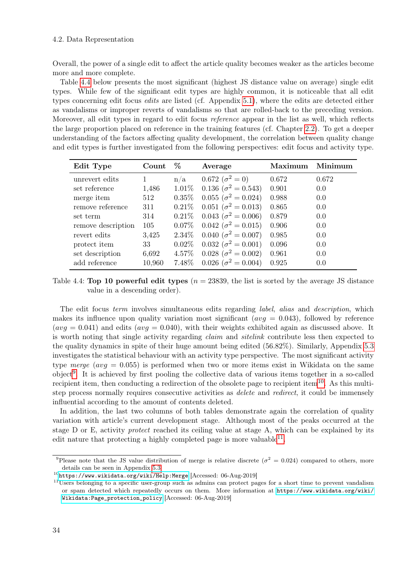#### 4.2. Data Representation

Overall, the power of a single edit to affect the article quality becomes weaker as the articles become more and more complete.

Table [4.4](#page-33-0) below presents the most significant (highest JS distance value on average) single edit types. While few of the significant edit types are highly common, it is noticeable that all edit types concerning edit focus edits are listed (cf. Appendix [5.1\)](#page-46-1), where the edits are detected either as vandalisms or improper reverts of vandalisms so that are rolled-back to the preceding version. Moreover, all edit types in regard to edit focus *reference* appear in the list as well, which reflects the large proportion placed on reference in the training features (cf. Chapter [2.2\)](#page-15-0). To get a deeper understanding of the factors affecting quality development, the correlation between quality change and edit types is further investigated from the following perspectives: edit focus and activity type.

<span id="page-33-0"></span>

| Edit Type          | Count  | $\%$     | Average                      | Maximum | Minimum       |
|--------------------|--------|----------|------------------------------|---------|---------------|
| unrevert edits     |        | n/a      | $0.672~(\sigma^2=0)$         | 0.672   | 0.672         |
| set reference      | 1,486  | $1.01\%$ | 0.136 ( $\sigma^2 = 0.543$ ) | 0.901   | $0.0^{\circ}$ |
| merge item         | 512    | $0.35\%$ | $0.055~(\sigma^2 = 0.024)$   | 0.988   | $0.0^{\circ}$ |
| remove reference   | 311    | $0.21\%$ | $0.051~(\sigma^2 = 0.013)$   | 0.865   | 0.0           |
| set term           | 314    | $0.21\%$ | $0.043~(\sigma^2 = 0.006)$   | 0.879   | 0.0           |
| remove description | 105    | $0.07\%$ | $0.042~(\sigma^2 = 0.015)$   | 0.906   | 0.0           |
| revert edits       | 3,425  | $2.34\%$ | $0.040~(\sigma^2 = 0.007)$   | 0.985   | 0.0           |
| protect item       | 33     | $0.02\%$ | $0.032~(\sigma^2 = 0.001)$   | 0.096   | 0.0           |
| set description    | 6,692  | $4.57\%$ | $0.028~(\sigma^2 = 0.002)$   | 0.961   | 0.0           |
| add reference      | 10,960 | $7.48\%$ | $0.026~(\sigma^2 = 0.004)$   | 0.925   | 0.0           |

Table 4.4: Top 10 powerful edit types ( $n = 23839$ , the list is sorted by the average JS distance value in a descending order).

The edit focus *term* involves simultaneous edits regarding *label, alias* and *description*, which makes its influence upon quality variation most significant ( $avg = 0.043$ ), followed by reference  $(avg = 0.041)$  and edits  $(avg = 0.040)$ , with their weights exhibited again as discussed above. It is worth noting that single activity regarding claim and sitelink contribute less then expected to the quality dynamics in spite of their huge amount being edited (56.82%). Similarly, Appendix [5.3](#page-51-1) investigates the statistical behaviour with an activity type perspective. The most significant activity type merge (avg  $= 0.055$ ) is performed when two or more items exist in Wikidata on the same object[9](#page-33-1) . It is achieved by first pooling the collective data of various items together in a so-called recipient item, then conducting a redirection of the obsolete page to recipient item<sup>[10](#page-33-2)</sup>. As this multistep process normally requires consecutive activities as delete and redirect, it could be immensely influential according to the amount of contents deleted.

In addition, the last two columns of both tables demonstrate again the correlation of quality variation with article's current development stage. Although most of the peaks occurred at the stage D or E, activity protect reached its ceiling value at stage A, which can be explained by its edit nature that protecting a highly completed page is more valuable $^{11}$  $^{11}$  $^{11}$ .

<span id="page-33-1"></span><sup>&</sup>lt;sup>9</sup>Please note that the JS value distribution of merge is relative discrete ( $\sigma^2 = 0.024$ ) compared to others, more details can be seen in Appendix [5.3](#page-51-0)

<span id="page-33-2"></span> $10$ <https://www.wikidata.org/wiki/Help:Merge> [Accessed: 06-Aug-2019]

<span id="page-33-3"></span> $11$ Users belonging to a specific user-group such as admins can protect pages for a short time to prevent vandalism or spam detected which repeatedly occurs on them. More information at [https://www.wikidata.org/wiki/](https://www.wikidata.org/wiki/Wikidata:Page_protection_policy) [Wikidata:Page\\_protection\\_policy](https://www.wikidata.org/wiki/Wikidata:Page_protection_policy) [Accessed: 06-Aug-2019]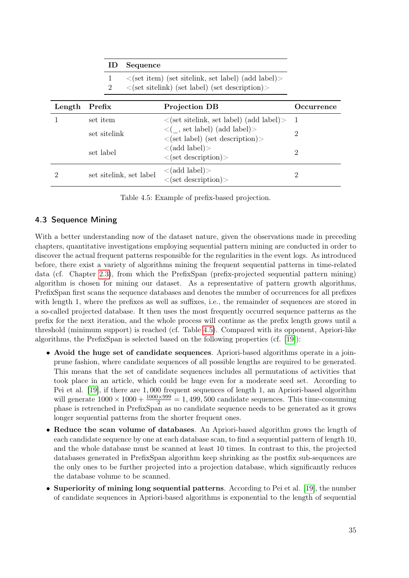<span id="page-34-1"></span>

|                |           | ID           | Sequence                |                                                                                     |                |
|----------------|-----------|--------------|-------------------------|-------------------------------------------------------------------------------------|----------------|
|                |           | 1            |                         | $\langle$ (set item) (set sitelink, set label) (add label) $>$                      |                |
|                |           | 2            |                         | $\langle$ (set sitelink) (set label) (set description) >                            |                |
| Length         | Prefix    |              |                         | <b>Projection DB</b>                                                                | Occurrence     |
| $\mathbf{1}$   | set item  |              |                         | $\langle$ (set sitelink, set label) (add label)                                     | -1             |
|                |           | set sitelink |                         | $\langle$ , set label) (add label) ><br>$\langle$ (set label) (set description) $>$ | 2              |
|                | set label |              |                         | $\langle \text{(add label)} \rangle$<br>$\langle$ set description $\rangle$         | 2              |
| $\overline{2}$ |           |              | set sitelink, set label | $\langle \text{(add label)} \rangle$<br>$\langle$ (set description) $>$             | $\overline{2}$ |

Table 4.5: Example of prefix-based projection.

### <span id="page-34-0"></span>4.3 Sequence Mining

With a better understanding now of the dataset nature, given the observations made in preceding chapters, quantitative investigations employing sequential pattern mining are conducted in order to discover the actual frequent patterns responsible for the regularities in the event logs. As introduced before, there exist a variety of algorithms mining the frequent sequential patterns in time-related data (cf. Chapter [2.3\)](#page-19-0), from which the PrefixSpan (prefix-projected sequential pattern mining) algorithm is chosen for mining our dataset. As a representative of pattern growth algorithms, PrefixSpan first scans the sequence databases and denotes the number of occurrences for all prefixes with length 1, where the prefixes as well as suffixes, i.e., the remainder of sequences are stored in a so-called projected database. It then uses the most frequently occurred sequence patterns as the prefix for the next iteration, and the whole process will continue as the prefix length grows until a threshold (minimum support) is reached (cf. Table [4.5\)](#page-34-1). Compared with its opponent, Apriori-like algorithms, the PrefixSpan is selected based on the following properties (cf. [\[19\]](#page-43-10)):

- Avoid the huge set of candidate sequences. Apriori-based algorithms operate in a joinprune fashion, where candidate sequences of all possible lengths are required to be generated. This means that the set of candidate sequences includes all permutations of activities that took place in an article, which could be huge even for a moderate seed set. According to Pei et al. [\[19\]](#page-43-10), if there are 1, 000 frequent sequences of length 1, an Apriori-based algorithm will generate  $1000 \times 1000 + \frac{1000 \times 999}{2} = 1,499,500$  candidate sequences. This time-consuming phase is retrenched in PrefixSpan as no candidate sequence needs to be generated as it grows longer sequential patterns from the shorter frequent ones.
- Reduce the scan volume of databases. An Apriori-based algorithm grows the length of each candidate sequence by one at each database scan, to find a sequential pattern of length 10, and the whole database must be scanned at least 10 times. In contrast to this, the projected databases generated in PrefixSpan algorithm keep shrinking as the postfix sub-sequences are the only ones to be further projected into a projection database, which significantly reduces the database volume to be scanned.
- Superiority of mining long sequential patterns. According to Pei et al. [\[19\]](#page-43-10), the number of candidate sequences in Apriori-based algorithms is exponential to the length of sequential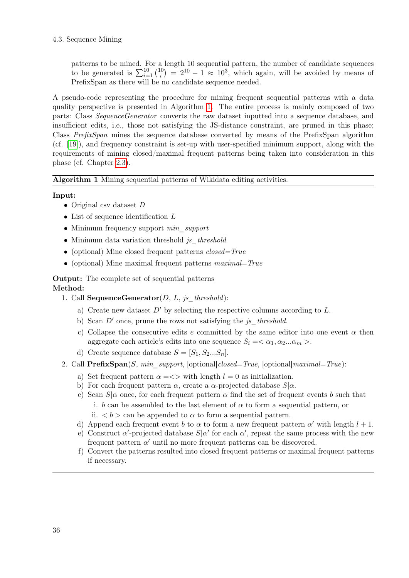### 4.3. Sequence Mining

patterns to be mined. For a length 10 sequential pattern, the number of candidate sequences to be generated is  $\sum_{i=1}^{10} \binom{10}{i}$  $\binom{10}{i} = 2^{10} - 1 \approx 10^3$ , which again, will be avoided by means of PrefixSpan as there will be no candidate sequence needed.

A pseudo-code representing the procedure for mining frequent sequential patterns with a data quality perspective is presented in Algorithm [1.](#page-35-0) The entire process is mainly composed of two parts: Class SequenceGenerator converts the raw dataset inputted into a sequence database, and insufficient edits, i.e., those not satisfying the JS-distance constraint, are pruned in this phase; Class PrefixSpan mines the sequence database converted by means of the PrefixSpan algorithm (cf. [\[19\]](#page-43-10)), and frequency constraint is set-up with user-specified minimum support, along with the requirements of mining closed/maximal frequent patterns being taken into consideration in this phase (cf. Chapter [2.3\)](#page-19-0).

### <span id="page-35-0"></span>Algorithm 1 Mining sequential patterns of Wikidata editing activities.

### Input:

- Original csv dataset D
- List of sequence identification L
- Minimum frequency support *min* support
- Minimum data variation threshold *js* threshold
- (optional) Mine closed frequent patterns  $closed=True$
- (optional) Mine maximal frequent patterns  $\textit{maximal} = \textit{True}$

Output: The complete set of sequential patterns

Method:

- 1. Call **SequenceGenerator** $(D, L, js$  threshold):
	- a) Create new dataset  $D'$  by selecting the respective columns according to L.
	- b) Scan  $D'$  once, prune the rows not satisfying the js threshold.
	- c) Collapse the consecutive edits e committed by the same editor into one event  $\alpha$  then aggregate each article's edits into one sequence  $S_i = \langle \alpha_1, \alpha_2 ... \alpha_m \rangle$ .
	- d) Create sequence database  $S = [S_1, S_2...S_n]$ .
- 2. Call  $\textbf{PrefixSpan}(S, \text{min\_support}, \text{[optional]}closed=True, \text{[optional]} maximal=True):$ 
	- a) Set frequent pattern  $\alpha = \langle \rangle$  with length  $l = 0$  as initialization.
	- b) For each frequent pattern  $\alpha$ , create a  $\alpha$ -projected database  $S|\alpha$ .
	- c) Scan  $S|\alpha$  once, for each frequent pattern  $\alpha$  find the set of frequent events b such that
		- i. b can be assembled to the last element of  $\alpha$  to form a sequential pattern, or
		- ii.  $\langle b \rangle$  can be appended to  $\alpha$  to form a sequential pattern.
	- d) Append each frequent event b to  $\alpha$  to form a new frequent pattern  $\alpha'$  with length  $l + 1$ .
	- e) Construct  $\alpha'$ -projected database  $S|\alpha'$  for each  $\alpha'$ , repeat the same process with the new frequent pattern  $\alpha'$  until no more frequent patterns can be discovered.
	- f) Convert the patterns resulted into closed frequent patterns or maximal frequent patterns if necessary.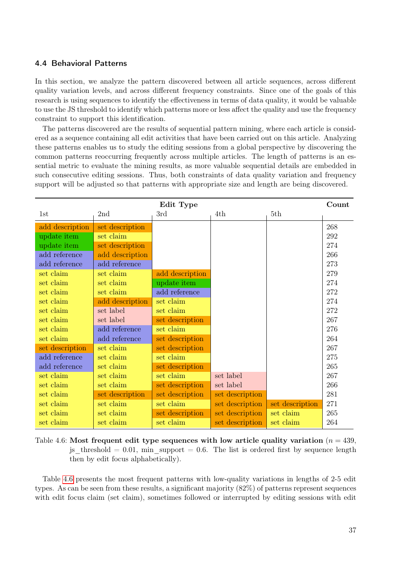### <span id="page-36-0"></span>4.4 Behavioral Patterns

In this section, we analyze the pattern discovered between all article sequences, across different quality variation levels, and across different frequency constraints. Since one of the goals of this research is using sequences to identify the effectiveness in terms of data quality, it would be valuable to use the JS threshold to identify which patterns more or less affect the quality and use the frequency constraint to support this identification.

The patterns discovered are the results of sequential pattern mining, where each article is considered as a sequence containing all edit activities that have been carried out on this article. Analyzing these patterns enables us to study the editing sessions from a global perspective by discovering the common patterns reoccurring frequently across multiple articles. The length of patterns is an essential metric to evaluate the mining results, as more valuable sequential details are embedded in such consecutive editing sessions. Thus, both constraints of data quality variation and frequency support will be adjusted so that patterns with appropriate size and length are being discovered.

<span id="page-36-1"></span>

| Edit Type       |                 |                 |                 |                 | Count |
|-----------------|-----------------|-----------------|-----------------|-----------------|-------|
| 1st             | 2 <sub>nd</sub> | 3rd             | 4th             | 5th             |       |
| add description | set description |                 |                 |                 | 268   |
| update item     | set claim       |                 |                 |                 | 292   |
| update item     | set description |                 |                 |                 | 274   |
| add reference   | add description |                 |                 |                 | 266   |
| add reference   | add reference   |                 |                 |                 | 273   |
| set claim       | set claim       | add description |                 |                 | 279   |
| set claim       | set claim       | update item     |                 |                 | 274   |
| set claim       | set claim       | add reference   |                 |                 | 272   |
| set claim       | add description | set claim       |                 |                 | 274   |
| set claim       | set label       | set claim       |                 |                 | 272   |
| set claim       | set label       | set description |                 |                 | 267   |
| set claim       | add reference   | set claim       |                 |                 | 276   |
| set claim       | add reference   | set description |                 |                 | 264   |
| set description | set claim       | set description |                 |                 | 267   |
| add reference   | set claim       | set claim       |                 |                 | 275   |
| add reference   | set claim       | set description |                 |                 | 265   |
| set claim       | set claim       | set claim       | set label       |                 | 267   |
| set claim       | set claim       | set description | set label       |                 | 266   |
| set claim       | set description | set description | set description |                 | 281   |
| set claim       | set claim       | set claim       | set description | set description | 271   |
| set claim       | set claim       | set description | set description | set claim       | 265   |
| set claim       | set claim       | set claim       | set description | set claim       | 264   |

Table 4.6: Most frequent edit type sequences with low article quality variation ( $n = 439$ , js threshold  $= 0.01$ , min support  $= 0.6$ . The list is ordered first by sequence length then by edit focus alphabetically).

Table [4.6](#page-36-1) presents the most frequent patterns with low-quality variations in lengths of 2-5 edit types. As can be seen from these results, a significant majority (82%) of patterns represent sequences with edit focus claim (set claim), sometimes followed or interrupted by editing sessions with edit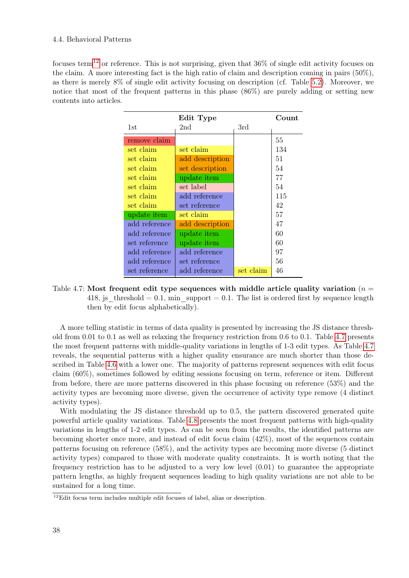### 4.4. Behavioral Patterns

<span id="page-37-0"></span>focuses term<sup>[12](#page-37-1)</sup> or reference. This is not surprising, given that  $36\%$  of single edit activity focuses on the claim. A more interesting fact is the high ratio of claim and description coming in pairs  $(50\%)$ . as there is merely 8% of single edit activity focusing on description (cf. Table [5.2\)](#page-49-1). Moreover, we notice that most of the frequent patterns in this phase  $(86\%)$  are purely adding or setting new contents into articles.

|               | Edit Type       |           | Count |
|---------------|-----------------|-----------|-------|
| 1st           | 2nd             | 3rd       |       |
| remove claim  |                 |           | 55    |
| set claim     | set claim       |           | 134   |
| set claim     | add description |           | 51    |
| set claim     | set description |           | 54    |
| set claim     | update item     |           | 77    |
| set claim     | set label       |           | 54    |
| set claim     | add reference   |           | 115   |
| set claim     | set reference   |           | 42    |
| update item   | set claim       |           | 57    |
| add reference | add description |           | 47    |
| add reference | update item     |           | 60    |
| set reference | update item     |           | 60    |
| add reference | add reference   |           | 97    |
| add reference | set reference   |           | 56    |
| set reference | add reference   | set claim | 46    |

Table 4.7: Most frequent edit type sequences with middle article quality variation  $(n =$ 418, is threshold  $= 0.1$ , min support  $= 0.1$ . The list is ordered first by sequence length then by edit focus alphabetically).

A more telling statistic in terms of data quality is presented by increasing the JS distance threshold from 0.01 to 0.1 as well as relaxing the frequency restriction from 0.6 to 0.1. Table [4.7](#page-37-0) presents the most frequent patterns with middle-quality variations in lengths of 1-3 edit types. As Table [4.7](#page-37-0) reveals, the sequential patterns with a higher quality ensurance are much shorter than those described in Table [4.6](#page-36-1) with a lower one. The majority of patterns represent sequences with edit focus claim (60%), sometimes followed by editing sessions focusing on term, reference or item. Different from before, there are more patterns discovered in this phase focusing on reference (53%) and the activity types are becoming more diverse, given the occurrence of activity type remove (4 distinct activity types).

With modulating the JS distance threshold up to 0.5, the pattern discovered generated quite powerful article quality variations. Table [4.8](#page-38-0) presents the most frequent patterns with high-quality variations in lengths of 1-2 edit types. As can be seen from the results, the identified patterns are becoming shorter once more, and instead of edit focus claim (42%), most of the sequences contain patterns focusing on reference (58%), and the activity types are becoming more diverse (5 distinct activity types) compared to those with moderate quality constraints. It is worth noting that the frequency restriction has to be adjusted to a very low level (0.01) to guarantee the appropriate pattern lengths, as highly frequent sequences leading to high quality variations are not able to be sustained for a long time.

<span id="page-37-1"></span> $12$ Edit focus term includes multiple edit focuses of label, alias or description.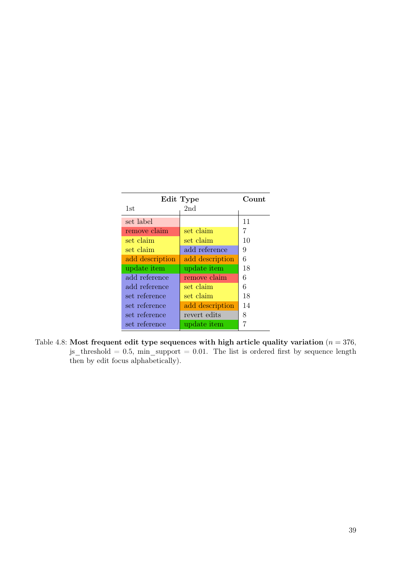| Edit Type       |                 | Count. |
|-----------------|-----------------|--------|
| 1st             | 2 <sub>nd</sub> |        |
| set label       |                 | 11     |
| remove claim    | set claim       | 7      |
| set claim       | set claim       | 10     |
| set claim       | add reference   | 9      |
| add description | add description | 6      |
| update item     | update item     | 18     |
| add reference   | remove claim    | 6      |
| add reference   | set claim       | 6      |
| set reference   | set claim       | 18     |
| set reference   | add description | 14     |
| set reference   | revert edits    | 8      |
| set reference   | update item     |        |

<span id="page-38-0"></span>l,

Table 4.8: Most frequent edit type sequences with high article quality variation ( $n = 376$ , js\_threshold =  $0.5$ , min\_support =  $0.01$ . The list is ordered first by sequence length then by edit focus alphabetically).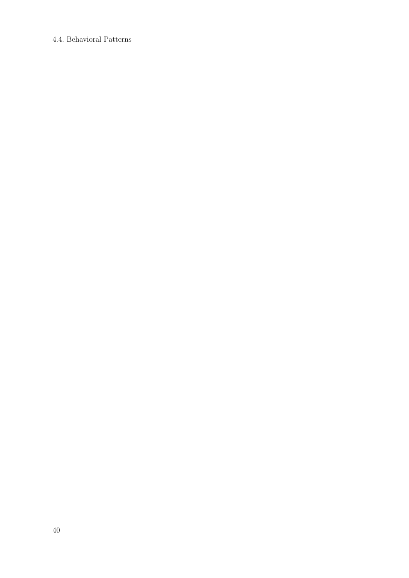## 4.4. Behavioral Patterns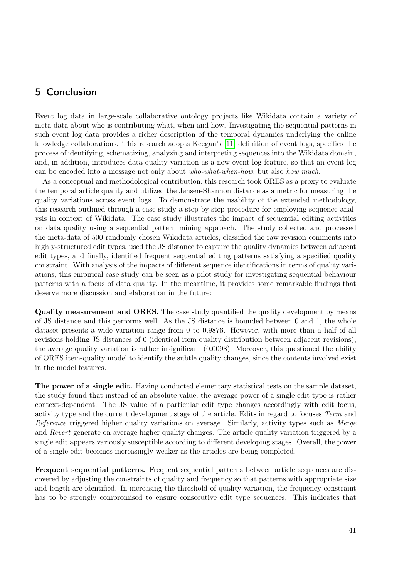# <span id="page-40-0"></span>5 Conclusion

Event log data in large-scale collaborative ontology projects like Wikidata contain a variety of meta-data about who is contributing what, when and how. Investigating the sequential patterns in such event log data provides a richer description of the temporal dynamics underlying the online knowledge collaborations. This research adopts Keegan's [\[11\]](#page-43-0) definition of event logs, specifies the process of identifying, schematizing, analyzing and interpreting sequences into the Wikidata domain, and, in addition, introduces data quality variation as a new event log feature, so that an event log can be encoded into a message not only about who-what-when-how, but also how much.

As a conceptual and methodological contribution, this research took ORES as a proxy to evaluate the temporal article quality and utilized the Jensen-Shannon distance as a metric for measuring the quality variations across event logs. To demonstrate the usability of the extended methodology, this research outlined through a case study a step-by-step procedure for employing sequence analysis in context of Wikidata. The case study illustrates the impact of sequential editing activities on data quality using a sequential pattern mining approach. The study collected and processed the meta-data of 500 randomly chosen Wikidata articles, classified the raw revision comments into highly-structured edit types, used the JS distance to capture the quality dynamics between adjacent edit types, and finally, identified frequent sequential editing patterns satisfying a specified quality constraint. With analysis of the impacts of different sequence identifications in terms of quality variations, this empirical case study can be seen as a pilot study for investigating sequential behaviour patterns with a focus of data quality. In the meantime, it provides some remarkable findings that deserve more discussion and elaboration in the future:

Quality measurement and ORES. The case study quantified the quality development by means of JS distance and this performs well. As the JS distance is bounded between 0 and 1, the whole dataset presents a wide variation range from 0 to 0.9876. However, with more than a half of all revisions holding JS distances of 0 (identical item quality distribution between adjacent revisions), the average quality variation is rather insignificant (0.0098). Moreover, this questioned the ability of ORES item-quality model to identify the subtle quality changes, since the contents involved exist in the model features.

The power of a single edit. Having conducted elementary statistical tests on the sample dataset, the study found that instead of an absolute value, the average power of a single edit type is rather context-dependent. The JS value of a particular edit type changes accordingly with edit focus, activity type and the current development stage of the article. Edits in regard to focuses Term and Reference triggered higher quality variations on average. Similarly, activity types such as Merge and Revert generate on average higher quality changes. The article quality variation triggered by a single edit appears variously susceptible according to different developing stages. Overall, the power of a single edit becomes increasingly weaker as the articles are being completed.

Frequent sequential patterns. Frequent sequential patterns between article sequences are discovered by adjusting the constraints of quality and frequency so that patterns with appropriate size and length are identified. In increasing the threshold of quality variation, the frequency constraint has to be strongly compromised to ensure consecutive edit type sequences. This indicates that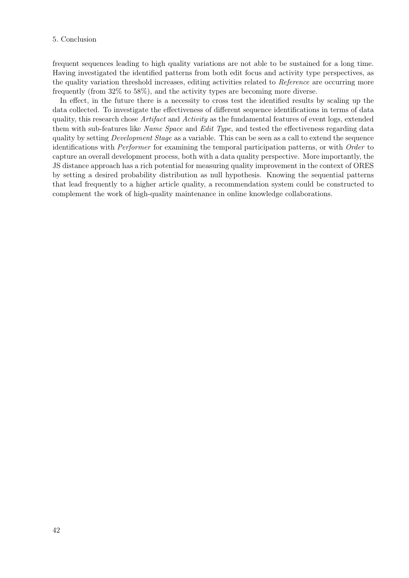frequent sequences leading to high quality variations are not able to be sustained for a long time. Having investigated the identified patterns from both edit focus and activity type perspectives, as the quality variation threshold increases, editing activities related to Reference are occurring more frequently (from 32% to 58%), and the activity types are becoming more diverse.

In effect, in the future there is a necessity to cross test the identified results by scaling up the data collected. To investigate the effectiveness of different sequence identifications in terms of data quality, this research chose Artifact and Activity as the fundamental features of event logs, extended them with sub-features like Name Space and Edit Type, and tested the effectiveness regarding data quality by setting Development Stage as a variable. This can be seen as a call to extend the sequence identifications with Performer for examining the temporal participation patterns, or with Order to capture an overall development process, both with a data quality perspective. More importantly, the JS distance approach has a rich potential for measuring quality improvement in the context of ORES by setting a desired probability distribution as null hypothesis. Knowing the sequential patterns that lead frequently to a higher article quality, a recommendation system could be constructed to complement the work of high-quality maintenance in online knowledge collaborations.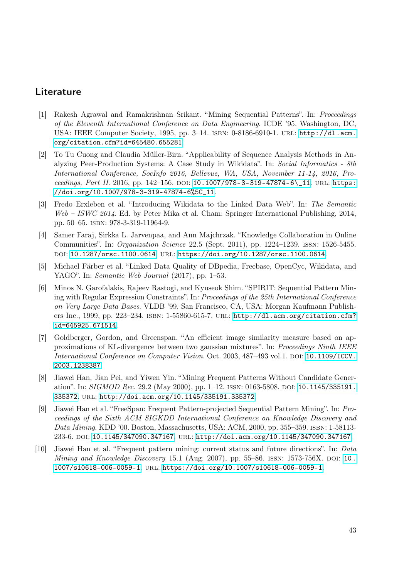## <span id="page-42-0"></span>**Literature**

- <span id="page-42-5"></span>[1] Rakesh Agrawal and Ramakrishnan Srikant. "Mining Sequential Patterns". In: Proceedings of the Eleventh International Conference on Data Engineering. ICDE '95. Washington, DC, USA: IEEE Computer Society, 1995, pp. 3–14. isbn: 0-8186-6910-1. url: [http://dl.acm.](http://dl.acm.org/citation.cfm?id=645480.655281) [org/citation.cfm?id=645480.655281](http://dl.acm.org/citation.cfm?id=645480.655281).
- <span id="page-42-2"></span>[2] To Tu Cuong and Claudia Müller-Birn. "Applicability of Sequence Analysis Methods in Analyzing Peer-Production Systems: A Case Study in Wikidata". In: Social Informatics - 8th International Conference, SocInfo 2016, Bellevue, WA, USA, November 11-14, 2016, Pro-ceedings, Part II. 2016, pp. 142-156. DOI: [10.1007/978-3-319-47874-6\\\_11](https://doi.org/10.1007/978-3-319-47874-6\_11). URL: [https:](https://doi.org/10.1007/978-3-319-47874-6%5C_11) [//doi.org/10.1007/978-3-319-47874-6%5C\\_11](https://doi.org/10.1007/978-3-319-47874-6%5C_11).
- <span id="page-42-3"></span>[3] Fredo Erxleben et al. "Introducing Wikidata to the Linked Data Web". In: The Semantic Web – ISWC 2014. Ed. by Peter Mika et al. Cham: Springer International Publishing, 2014, pp. 50–65. isbn: 978-3-319-11964-9.
- <span id="page-42-1"></span>[4] Samer Faraj, Sirkka L. Jarvenpaa, and Ann Majchrzak. "Knowledge Collaboration in Online Communities". In: Organization Science 22.5 (Sept. 2011), pp. 1224–1239. issn: 1526-5455. doi: [10.1287/orsc.1100.0614](https://doi.org/10.1287/orsc.1100.0614). url: <https://doi.org/10.1287/orsc.1100.0614>.
- <span id="page-42-9"></span>[5] Michael Färber et al. "Linked Data Quality of DBpedia, Freebase, OpenCyc, Wikidata, and YAGO". In: Semantic Web Journal (2017), pp. 1–53.
- <span id="page-42-10"></span>[6] Minos N. Garofalakis, Rajeev Rastogi, and Kyuseok Shim. "SPIRIT: Sequential Pattern Mining with Regular Expression Constraints". In: Proceedings of the 25th International Conference on Very Large Data Bases. VLDB '99. San Francisco, CA, USA: Morgan Kaufmann Publishers Inc., 1999, pp. 223-234. ISBN: 1-55860-615-7. URL: [http://dl.acm.org/citation.cfm?](http://dl.acm.org/citation.cfm?id=645925.671514) [id=645925.671514](http://dl.acm.org/citation.cfm?id=645925.671514).
- <span id="page-42-4"></span>[7] Goldberger, Gordon, and Greenspan. "An efficient image similarity measure based on approximations of KL-divergence between two gaussian mixtures". In: Proceedings Ninth IEEE International Conference on Computer Vision. Oct. 2003, 487-493 vol.1. DOI: [10.1109/ICCV.](https://doi.org/10.1109/ICCV.2003.1238387) [2003.1238387](https://doi.org/10.1109/ICCV.2003.1238387).
- <span id="page-42-7"></span>[8] Jiawei Han, Jian Pei, and Yiwen Yin. "Mining Frequent Patterns Without Candidate Gener-ation". In: SIGMOD Rec. 29.2 (May 2000), pp. 1–12. ISSN: 0163-5808. poi: [10.1145/335191.](https://doi.org/10.1145/335191.335372) [335372](https://doi.org/10.1145/335191.335372). url: <http://doi.acm.org/10.1145/335191.335372>.
- <span id="page-42-8"></span>[9] Jiawei Han et al. "FreeSpan: Frequent Pattern-projected Sequential Pattern Mining". In: Proceedings of the Sixth ACM SIGKDD International Conference on Knowledge Discovery and Data Mining. KDD '00. Boston, Massachusetts, USA: ACM, 2000, pp. 355–359. ISBN: 1-58113-233-6. doi: [10.1145/347090.347167](https://doi.org/10.1145/347090.347167). url: <http://doi.acm.org/10.1145/347090.347167>.
- <span id="page-42-6"></span>[10] Jiawei Han et al. "Frequent pattern mining: current status and future directions". In: Data *Mining and Knowledge Discovery* 15.1 (Aug. 2007), pp. 55–86. ISSN: 1573-756X. DOI: 10. [1007/s10618-006-0059-1](https://doi.org/10.1007/s10618-006-0059-1). url: <https://doi.org/10.1007/s10618-006-0059-1>.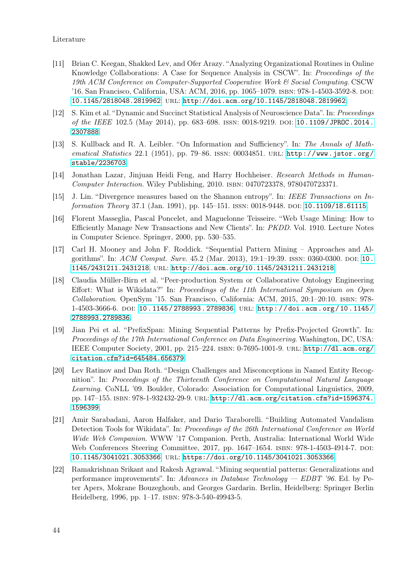- <span id="page-43-0"></span>[11] Brian C. Keegan, Shakked Lev, and Ofer Arazy. "Analyzing Organizational Routines in Online Knowledge Collaborations: A Case for Sequence Analysis in CSCW". In: Proceedings of the 19th ACM Conference on Computer-Supported Cooperative Work & Social Computing. CSCW '16. San Francisco, California, USA: ACM, 2016, pp. 1065–1079. ISBN: 978-1-4503-3592-8. DOI: [10.1145/2818048.2819962](https://doi.org/10.1145/2818048.2819962). url: <http://doi.acm.org/10.1145/2818048.2819962>.
- <span id="page-43-5"></span>[12] S. Kim et al. "Dynamic and Succinct Statistical Analysis of Neuroscience Data". In: Proceedings of the IEEE 102.5 (May 2014), pp. 683–698. issn: 0018-9219. doi: [10.1109/JPROC.2014.](https://doi.org/10.1109/JPROC.2014.2307888) [2307888](https://doi.org/10.1109/JPROC.2014.2307888).
- <span id="page-43-4"></span>[13] S. Kullback and R. A. Leibler. "On Information and Sufficiency". In: The Annals of Mathematical Statistics 22.1 (1951), pp. 79–86. issn: 00034851. url: [http://www.jstor.org/](http://www.jstor.org/stable/2236703) [stable/2236703](http://www.jstor.org/stable/2236703).
- <span id="page-43-11"></span>[14] Jonathan Lazar, Jinjuan Heidi Feng, and Harry Hochheiser. Research Methods in Human-Computer Interaction. Wiley Publishing, 2010. isbn: 0470723378, 9780470723371.
- <span id="page-43-6"></span>[15] J. Lin. "Divergence measures based on the Shannon entropy". In: IEEE Transactions on In-formation Theory 37.1 (Jan. 1991), pp. 145-151. ISSN: 0018-9448. DOI: [10.1109/18.61115](https://doi.org/10.1109/18.61115).
- <span id="page-43-7"></span>[16] Florent Masseglia, Pascal Poncelet, and Maguelonne Teisseire. "Web Usage Mining: How to Efficiently Manage New Transactions and New Clients". In: PKDD. Vol. 1910. Lecture Notes in Computer Science. Springer, 2000, pp. 530–535.
- <span id="page-43-8"></span>[17] Carl H. Mooney and John F. Roddick. "Sequential Pattern Mining – Approaches and Al-gorithms". In: ACM Comput. Surv. 45.2 (Mar. 2013), 19:1-19:39. ISSN: 0360-0300. DOI: [10.](https://doi.org/10.1145/2431211.2431218) [1145/2431211.2431218](https://doi.org/10.1145/2431211.2431218). url: <http://doi.acm.org/10.1145/2431211.2431218>.
- <span id="page-43-2"></span>[18] Claudia Müller-Birn et al. "Peer-production System or Collaborative Ontology Engineering Effort: What is Wikidata?" In: Proceedings of the 11th International Symposium on Open Collaboration. OpenSym '15. San Francisco, California: ACM, 2015, 20:1–20:10. isbn: 978- 1-4503-3666-6. doi: [10 . 1145 / 2788993 . 2789836](https://doi.org/10.1145/2788993.2789836). url: [http : / / doi . acm . org / 10 . 1145 /](http://doi.acm.org/10.1145/2788993.2789836) [2788993.2789836](http://doi.acm.org/10.1145/2788993.2789836).
- <span id="page-43-10"></span>[19] Jian Pei et al. "PrefixSpan: Mining Sequential Patterns by Prefix-Projected Growth". In: Proceedings of the 17th International Conference on Data Engineering. Washington, DC, USA: IEEE Computer Society, 2001, pp. 215–224. isbn: 0-7695-1001-9. url: [http://dl.acm.org/](http://dl.acm.org/citation.cfm?id=645484.656379) [citation.cfm?id=645484.656379](http://dl.acm.org/citation.cfm?id=645484.656379).
- <span id="page-43-1"></span>[20] Lev Ratinov and Dan Roth. "Design Challenges and Misconceptions in Named Entity Recognition". In: Proceedings of the Thirteenth Conference on Computational Natural Language Learning. CoNLL '09. Boulder, Colorado: Association for Computational Linguistics, 2009, pp. 147–155. isbn: 978-1-932432-29-9. url: [http://dl.acm.org/citation.cfm?id=1596374.](http://dl.acm.org/citation.cfm?id=1596374.1596399) [1596399](http://dl.acm.org/citation.cfm?id=1596374.1596399).
- <span id="page-43-3"></span>[21] Amir Sarabadani, Aaron Halfaker, and Dario Taraborelli. "Building Automated Vandalism Detection Tools for Wikidata". In: Proceedings of the 26th International Conference on World Wide Web Companion. WWW '17 Companion. Perth, Australia: International World Wide Web Conferences Steering Committee, 2017, pp. 1647–1654. ISBN: 978-1-4503-4914-7. DOI: [10.1145/3041021.3053366](https://doi.org/10.1145/3041021.3053366). url: <https://doi.org/10.1145/3041021.3053366>.
- <span id="page-43-9"></span>[22] Ramakrishnan Srikant and Rakesh Agrawal. "Mining sequential patterns: Generalizations and performance improvements". In: Advances in Database Technology — EDBT '96. Ed. by Peter Apers, Mokrane Bouzeghoub, and Georges Gardarin. Berlin, Heidelberg: Springer Berlin Heidelberg, 1996, pp. 1–17. isbn: 978-3-540-49943-5.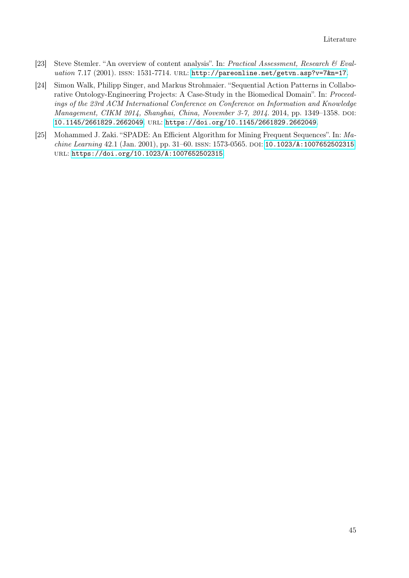- <span id="page-44-2"></span>[23] Steve Stemler. "An overview of content analysis". In: Practical Assessment, Research & Evaluation 7.17 (2001). ISSN: 1531-7714. URL:  $http://pareonline.net/getvn-asp?v=7&n=17$ .
- <span id="page-44-0"></span>[24] Simon Walk, Philipp Singer, and Markus Strohmaier. "Sequential Action Patterns in Collaborative Ontology-Engineering Projects: A Case-Study in the Biomedical Domain". In: Proceedings of the 23rd ACM International Conference on Conference on Information and Knowledge Management, CIKM 2014, Shanghai, China, November 3-7, 2014. 2014, pp. 1349–1358. DOI: [10.1145/2661829.2662049](https://doi.org/10.1145/2661829.2662049). url: <https://doi.org/10.1145/2661829.2662049>.
- <span id="page-44-1"></span>[25] Mohammed J. Zaki. "SPADE: An Efficient Algorithm for Mining Frequent Sequences". In: Machine Learning 42.1 (Jan. 2001), pp. 31–60. issn: 1573-0565. doi: [10.1023/A:1007652502315](https://doi.org/10.1023/A:1007652502315). url: <https://doi.org/10.1023/A:1007652502315>.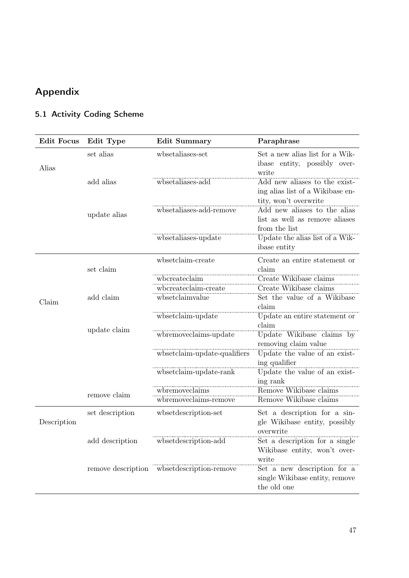# <span id="page-46-0"></span>Appendix

# <span id="page-46-1"></span>5.1 Activity Coding Scheme

| <b>Edit Focus</b> | Edit Type       | <b>Edit Summary</b>                        | Paraphrase                                                                                 |
|-------------------|-----------------|--------------------------------------------|--------------------------------------------------------------------------------------------|
| Alias             | set alias       | wbsetaliases-set                           | Set a new alias list for a Wik-<br>ibase entity, possibly over-<br>write                   |
|                   | add alias       | wbsetaliases-add                           | Add new aliases to the exist-<br>ing alias list of a Wikibase en-<br>tity, won't overwrite |
|                   | update alias    | wbsetaliases-add-remove                    | Add new aliases to the alias<br>list as well as remove aliases<br>from the list            |
|                   |                 | wbsetaliases-update                        | Update the alias list of a Wik-<br>ibase entity                                            |
|                   | set claim       | wbsetclaim-create                          | Create an entire statement or<br>claim                                                     |
|                   |                 | wbcreateclaim                              | Create Wikibase claims                                                                     |
|                   |                 | wbcreateclaim-create                       | Create Wikibase claims                                                                     |
| Claim             | add claim       | wbsetclaimvalue                            | Set the value of a Wikibase<br>claim                                                       |
|                   |                 | wbsetclaim-update                          | Update an entire statement or<br>claim                                                     |
|                   | update claim    | wbremoveclaims-update                      | Update Wikibase claims by<br>removing claim value                                          |
|                   |                 | wbsetclaim-update-qualifiers               | Update the value of an exist-<br>ing qualifier                                             |
|                   |                 | $\frac{1}{2}$ wbsetclaim-update-rank       | Update the value of an exist-<br>ing rank                                                  |
|                   |                 | wbremoveclaims                             | Remove Wikibase claims                                                                     |
|                   | remove claim    | wbremoveclaims-remove                      | Remove Wikibase claims                                                                     |
| Description       | set description | wbsetdescription-set                       | Set a description for a sin-<br>gle Wikibase entity, possibly<br>overwrite                 |
|                   | add description | wbsetdescription-add                       | Set a description for a single<br>Wikibase entity, won't over-<br>write                    |
|                   |                 | remove description wbsetdescription-remove | Set a new description for a<br>single Wikibase entity, remove<br>the old one               |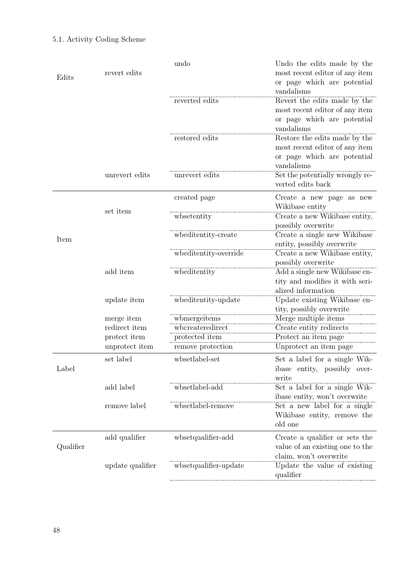| Edits     | revert edits     | undo                  | Undo the edits made by the<br>most recent editor of any item<br>or page which are potential<br>vandalisms    |
|-----------|------------------|-----------------------|--------------------------------------------------------------------------------------------------------------|
|           |                  | reverted edits        | Revert the edits made by the<br>most recent editor of any item<br>or page which are potential<br>vandalisms  |
|           |                  | restored edits        | Restore the edits made by the<br>most recent editor of any item<br>or page which are potential<br>vandalisms |
|           | unrevert edits   | unrevert edits        | Set the potentially wrongly re-<br>verted edits back                                                         |
|           | set item         | created page          | Create a new page as new<br>Wikibase entity                                                                  |
|           |                  | wbsetentity           | Create a new Wikibase entity,<br>possibly overwrite                                                          |
| Item      |                  | wbeditentity-create   | Create a single new Wikibase<br>entity, possibly overwrite                                                   |
|           |                  | wbeditentity-override | Create a new Wikibase entity,<br>possibly overwrite                                                          |
|           | add item         | wbeditentity          | Add a single new Wikibase en-<br>tity and modifies it with seri-<br>alized information                       |
|           | update item      | wbeditentity-update   | Update existing Wikibase en-<br>tity, possibly overwrite                                                     |
|           | merge item       | wbmergeitems          | Merge multiple items                                                                                         |
|           | redirect item    | wbcreateredirect      | Create entity redirects                                                                                      |
|           | protect item     | protected item        | Protect an item page                                                                                         |
|           | unprotect item   | remove protection     | Unprotect an item page                                                                                       |
| Label     | set label        | wbsetlabel-set        | Set a label for a single Wik-<br>ibase entity, possibly over-<br>write                                       |
|           | add label        | wbsetlabel-add        | Set a label for a single Wik-<br>ibase entity, won't overwrite                                               |
|           | remove label     | wbsetlabel-remove     | Set a new label for a single<br>Wikibase entity, remove the<br>old one                                       |
| Qualifier | add qualifier    | wbsetqualifier-add    | Create a qualifier or sets the<br>value of an existing one to the<br>claim, won't overwrite                  |
|           | update qualifier | wbsetqualifier-update | Update the value of existing<br>qualifier                                                                    |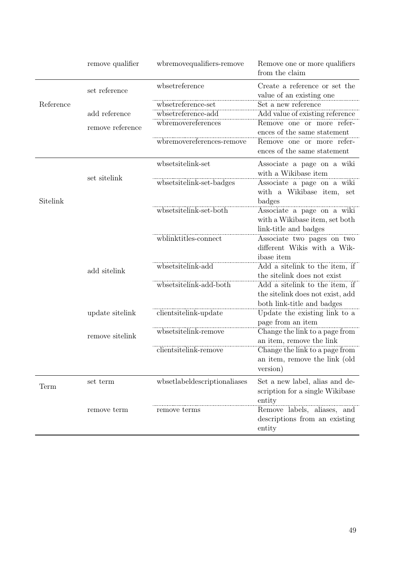|           | remove qualifier | wbremovequalifiers-remove    | Remove one or more qualifiers<br>from the claim                                                  |
|-----------|------------------|------------------------------|--------------------------------------------------------------------------------------------------|
|           | set reference    | wbsetreference               | Create a reference or set the<br>value of an existing one                                        |
| Reference |                  | wbsetreference-set           | Set a new reference                                                                              |
|           | add reference    | wbsetreference-add           | Add value of existing reference                                                                  |
|           | remove reference | wbremovereferences           | Remove one or more refer-<br>ences of the same statement                                         |
|           |                  | wbremovereferences-remove    | Remove one or more refer-<br>ences of the same statement                                         |
|           |                  | wbsetsitelink-set            | Associate a page on a wiki<br>with a Wikibase item                                               |
| Sitelink  | set sitelink     | wbsetsitelink-set-badges     | Associate a page on a wiki<br>with a Wikibase item, set<br>badges                                |
|           |                  | wbsetsitelink-set-both       | Associate a page on a wiki<br>with a Wikibase item, set both<br>link-title and badges            |
|           |                  | wblinktitles-connect         | Associate two pages on two<br>different Wikis with a Wik-<br>ibase item                          |
|           | add sitelink     | wbsetsitelink-add            | Add a sitelink to the item, if<br>the sitelink does not exist                                    |
|           |                  | wbsetsitelink-add-both       | Add a sitelink to the item, if<br>the sitelink does not exist, add<br>both link-title and badges |
|           | update sitelink  | clientsitelink-update        | Update the existing link to a<br>page from an item                                               |
|           | remove sitelink  | wbsetsitelink-remove         | Change the link to a page from<br>an item, remove the link                                       |
|           |                  | clientsitelink-remove        | Change the link to a page from<br>an item, remove the link (old<br>version)                      |
| Term      | set term         | wbsetlabeldescriptionaliases | Set a new label, alias and de-<br>scription for a single Wikibase<br>entity                      |
|           | remove term      | remove terms                 | Remove labels, aliases, and<br>descriptions from an existing<br>entity                           |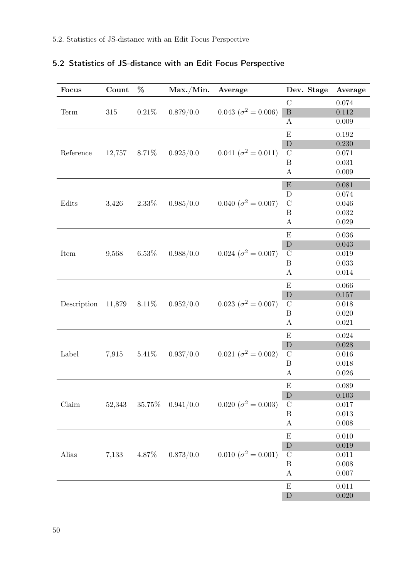<span id="page-49-1"></span>

| Focus       | Count             | %         | Max./Min. | Average                      | Dev. Stage            | Average   |
|-------------|-------------------|-----------|-----------|------------------------------|-----------------------|-----------|
| Term        |                   |           |           |                              | $\mathcal{C}$         | $0.074\,$ |
|             | 315               | 0.21%     | 0.879/0.0 | 0.043 ( $\sigma^2 = 0.006$ ) | $\overline{B}$        | 0.112     |
|             |                   |           |           |                              | $\boldsymbol{A}$      | 0.009     |
|             | 12,757            | $8.71\%$  | 0.925/0.0 | $0.041~(\sigma^2 = 0.011)$   | ${\bf E}$             | 0.192     |
|             |                   |           |           |                              | ${\rm D}$             | 0.230     |
| Reference   |                   |           |           |                              | $\overline{C}$        | 0.071     |
|             |                   |           |           |                              | $\boldsymbol{B}$      | 0.031     |
|             |                   |           |           |                              | $\boldsymbol{A}$      | 0.009     |
|             | 3,426             | $2.33\%$  | 0.985/0.0 | 0.040 ( $\sigma^2 = 0.007$ ) | ${\bf E}$             | 0.081     |
| Edits       |                   |           |           |                              | $\mathbf D$           | 0.074     |
|             |                   |           |           |                              | $\overline{C}$        | 0.046     |
|             |                   |           |           |                              | $\boldsymbol{B}$      | 0.032     |
|             |                   |           |           |                              | $\boldsymbol{A}$      | 0.029     |
|             |                   |           | 0.988/0.0 |                              | ${\bf E}$             | 0.036     |
|             |                   |           |           |                              | ${\rm D}$             | 0.043     |
| Item        | 9,568             | $6.53\%$  |           | $0.024~(\sigma^2=0.007)$     | $\overline{C}$        | 0.019     |
|             |                   |           |           |                              | $\boldsymbol{B}$      | 0.033     |
|             |                   |           |           |                              | $\boldsymbol{\rm{A}}$ | 0.014     |
|             |                   |           |           | $0.023~(\sigma^2=0.007)$     | ${\bf E}$             | 0.066     |
|             |                   |           |           |                              | $\mathbf D$           | $0.157\,$ |
| Description | $11,879$ $8.11\%$ |           | 0.952/0.0 |                              | $\overline{C}$        | 0.018     |
|             |                   |           |           |                              | $\mathbf B$           | 0.020     |
|             |                   |           |           |                              | $\boldsymbol{\rm{A}}$ | 0.021     |
|             | 7,915             | 5.41\%    | 0.937/0.0 | $0.021~(\sigma^2 = 0.002)$   | ${\bf E}$             | 0.024     |
|             |                   |           |           |                              | ${\rm D}$             | 0.028     |
| Label       |                   |           |           |                              | $\overline{C}$        | 0.016     |
|             |                   |           |           |                              | $\, {\bf B}$          | 0.018     |
|             |                   |           |           |                              | $\boldsymbol{A}$      | 0.026     |
| Claim       | 52,343            | $35.75\%$ | 0.941/0.0 | $0.020~(\sigma^2 = 0.003)$   | E                     | 0.089     |
|             |                   |           |           |                              | $\mathbf D$           | $0.103\,$ |
|             |                   |           |           |                              | $\overline{C}$        | 0.017     |
|             |                   |           |           |                              | $\boldsymbol{B}$      | 0.013     |
|             |                   |           |           |                              | $\boldsymbol{\rm{A}}$ | 0.008     |
| Alias       | 7,133             | 4.87%     | 0.873/0.0 | $0.010~(\sigma^2 = 0.001)$   | ${\bf E}$             | 0.010     |
|             |                   |           |           |                              | ${\rm D}$             | 0.019     |
|             |                   |           |           |                              | $\mathcal{C}$         | 0.011     |
|             |                   |           |           |                              | $\boldsymbol{B}$      | 0.008     |
|             |                   |           |           |                              | $\boldsymbol{A}$      | 0.007     |
|             |                   |           |           |                              | ${\bf E}$             | $0.011\,$ |
|             |                   |           |           |                              | $\mathbf D$           | 0.020     |
|             |                   |           |           |                              |                       |           |

# <span id="page-49-0"></span>5.2 Statistics of JS-distance with an Edit Focus Perspective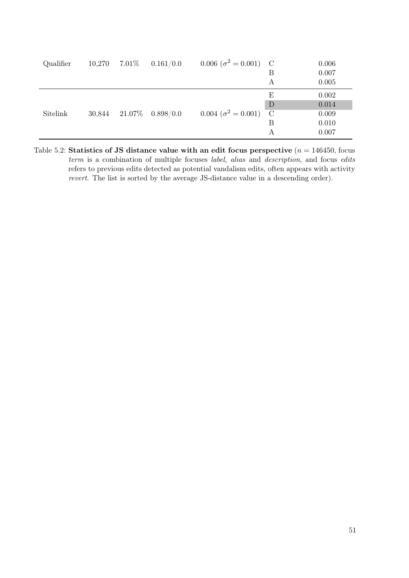| Qualifier | 10,270 | $7.01\%$  | 0.161/0.0 | $0.006~(\sigma^2 = 0.001)$ | $\overline{C}$<br>Β<br>А          | 0.006<br>0.007<br>0.005                   |
|-----------|--------|-----------|-----------|----------------------------|-----------------------------------|-------------------------------------------|
| Sitelink  | 30,844 | $21.07\%$ | 0.898/0.0 | $0.004~(\sigma^2 = 0.001)$ | Ε<br>D<br>$\mathcal{C}$<br>Β<br>А | 0.002<br>0.014<br>0.009<br>0.010<br>0.007 |

Table 5.2: Statistics of JS distance value with an edit focus perspective  $(n = 146450, \text{focus})$ term is a combination of multiple focuses label, alias and description, and focus edits refers to previous edits detected as potential vandalism edits, often appears with activity revert. The list is sorted by the average JS-distance value in a descending order).